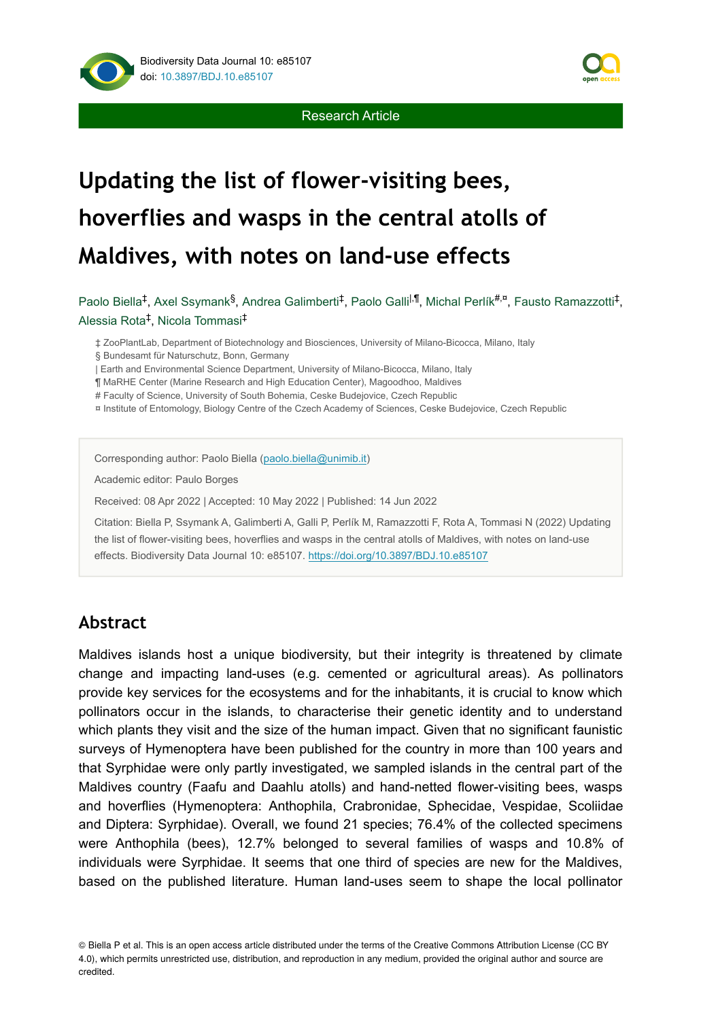

# **Updating the list of flower-visiting bees, hoverflies and wasps in the central atolls of Maldives, with notes on land-use effects**

Paolo Biella<sup>‡</sup>, Axel Ssymank<sup>§</sup>, Andrea Galimberti<sup>‡</sup>, Paolo Galli<sup>I,¶</sup>, Michal Perlík<sup>#,¤</sup>, Fausto Ramazzotti<sup>‡</sup>, Alessia Rota<sup>‡</sup>, Nicola Tommasi<sup>‡</sup>

‡ ZooPlantLab, Department of Biotechnology and Biosciences, University of Milano-Bicocca, Milano, Italy

| Earth and Environmental Science Department, University of Milano-Bicocca, Milano, Italy

¶ MaRHE Center (Marine Research and High Education Center), Magoodhoo, Maldives

# Faculty of Science, University of South Bohemia, Ceske Budejovice, Czech Republic

¤ Institute of Entomology, Biology Centre of the Czech Academy of Sciences, Ceske Budejovice, Czech Republic

Corresponding author: Paolo Biella ([paolo.biella@unimib.it](mailto:paolo.biella@unimib.it))

Academic editor: Paulo Borges

Received: 08 Apr 2022 | Accepted: 10 May 2022 | Published: 14 Jun 2022

Citation: Biella P, Ssymank A, Galimberti A, Galli P, Perlík M, Ramazzotti F, Rota A, Tommasi N (2022) Updating the list of flower-visiting bees, hoverflies and wasps in the central atolls of Maldives, with notes on land-use effects. Biodiversity Data Journal 10: e85107. <https://doi.org/10.3897/BDJ.10.e85107>

## **Abstract**

Maldives islands host a unique biodiversity, but their integrity is threatened by climate change and impacting land-uses (e.g. cemented or agricultural areas). As pollinators provide key services for the ecosystems and for the inhabitants, it is crucial to know which pollinators occur in the islands, to characterise their genetic identity and to understand which plants they visit and the size of the human impact. Given that no significant faunistic surveys of Hymenoptera have been published for the country in more than 100 years and that Syrphidae were only partly investigated, we sampled islands in the central part of the Maldives country (Faafu and Daahlu atolls) and hand-netted flower-visiting bees, wasps and hoverflies (Hymenoptera: Anthophila, Crabronidae, Sphecidae, Vespidae, Scoliidae and Diptera: Syrphidae). Overall, we found 21 species; 76.4% of the collected specimens were Anthophila (bees), 12.7% belonged to several families of wasps and 10.8% of individuals were Syrphidae. It seems that one third of species are new for the Maldives, based on the published literature. Human land-uses seem to shape the local pollinator

© Biella P et al. This is an open access article distributed under the terms of the Creative Commons Attribution License (CC BY 4.0), which permits unrestricted use, distribution, and reproduction in any medium, provided the original author and source are credited.



<sup>§</sup> Bundesamt für Naturschutz, Bonn, Germany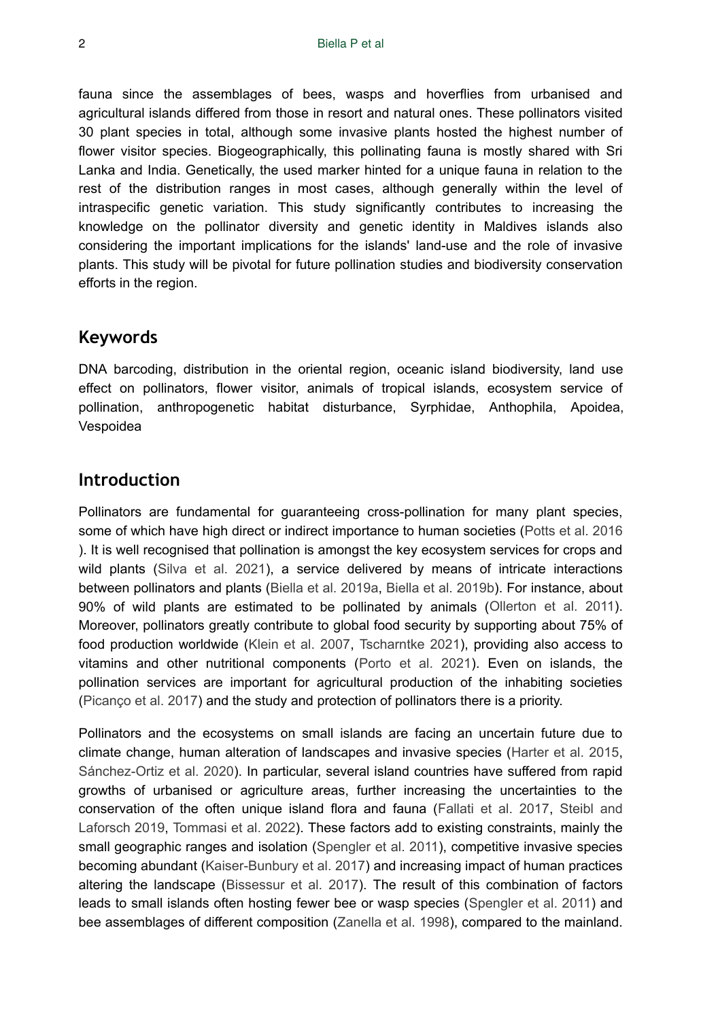fauna since the assemblages of bees, wasps and hoverflies from urbanised and agricultural islands differed from those in resort and natural ones. These pollinators visited 30 plant species in total, although some invasive plants hosted the highest number of flower visitor species. Biogeographically, this pollinating fauna is mostly shared with Sri Lanka and India. Genetically, the used marker hinted for a unique fauna in relation to the rest of the distribution ranges in most cases, although generally within the level of intraspecific genetic variation. This study significantly contributes to increasing the knowledge on the pollinator diversity and genetic identity in Maldives islands also considering the important implications for the islands' land-use and the role of invasive plants. This study will be pivotal for future pollination studies and biodiversity conservation efforts in the region.

## **Keywords**

DNA barcoding, distribution in the oriental region, oceanic island biodiversity, land use effect on pollinators, flower visitor, animals of tropical islands, ecosystem service of pollination, anthropogenetic habitat disturbance, Syrphidae, Anthophila, Apoidea, Vespoidea

## **Introduction**

Pollinators are fundamental for guaranteeing cross-pollination for many plant species, some of which have high direct or indirect importance to human societies ([Potts et al. 2016](#page-24-0) ). It is well recognised that pollination is amongst the key ecosystem services for crops and wild plants [\(Silva et al. 2021](#page-24-1)), a service delivered by means of intricate interactions between pollinators and plants [\(Biella et al. 2019a](#page-21-0), [Biella et al. 2019b\)](#page-21-1). For instance, about 90% of wild plants are estimated to be pollinated by animals [\(Ollerton et al. 2011\)](#page-23-0). Moreover, pollinators greatly contribute to global food security by supporting about 75% of food production worldwide ([Klein et al. 2007,](#page-22-0) [Tscharntke 2021\)](#page-25-0), providing also access to vitamins and other nutritional components [\(Porto et al. 2021](#page-24-2)). Even on islands, the pollination services are important for agricultural production of the inhabiting societies [\(Picanço et al. 2017\)](#page-23-1) and the study and protection of pollinators there is a priority.

Pollinators and the ecosystems on small islands are facing an uncertain future due to climate change, human alteration of landscapes and invasive species ([Harter et al. 2015,](#page-22-1) [Sánchez-Ortiz et al. 2020\)](#page-24-3). In particular, several island countries have suffered from rapid growths of urbanised or agriculture areas, further increasing the uncertainties to the conservation of the often unique island flora and fauna ([Fallati et al. 2017](#page-22-2), [Steibl and](#page-24-4) [Laforsch 2019,](#page-24-4) [Tommasi et al. 2022](#page-25-1)). These factors add to existing constraints, mainly the small geographic ranges and isolation [\(Spengler et al. 2011](#page-24-5)), competitive invasive species becoming abundant ([Kaiser-Bunbury et al. 2017\)](#page-22-3) and increasing impact of human practices altering the landscape ([Bissessur et al. 2017](#page-21-2)). The result of this combination of factors leads to small islands often hosting fewer bee or wasp species ([Spengler et al. 2011](#page-24-5)) and bee assemblages of different composition ([Zanella et al. 1998\)](#page-25-2), compared to the mainland.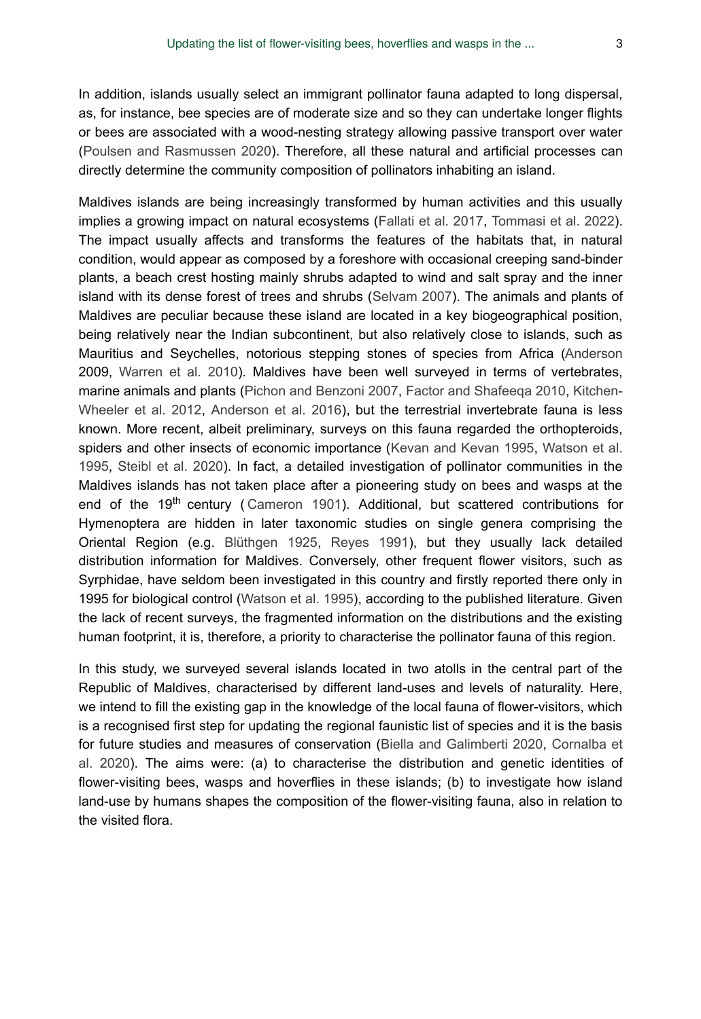In addition, islands usually select an immigrant pollinator fauna adapted to long dispersal, as, for instance, bee species are of moderate size and so they can undertake longer flights or bees are associated with a wood-nesting strategy allowing passive transport over water [\(Poulsen and Rasmussen 2020\)](#page-24-6). Therefore, all these natural and artificial processes can directly determine the community composition of pollinators inhabiting an island.

Maldives islands are being increasingly transformed by human activities and this usually implies a growing impact on natural ecosystems [\(Fallati et al. 2017](#page-22-2), [Tommasi et al. 2022\)](#page-25-1). The impact usually affects and transforms the features of the habitats that, in natural condition, would appear as composed by a foreshore with occasional creeping sand-binder plants, a beach crest hosting mainly shrubs adapted to wind and salt spray and the inner island with its dense forest of trees and shrubs [\(Selvam 2007](#page-24-7)). The animals and plants of Maldives are peculiar because these island are located in a key biogeographical position, being relatively near the Indian subcontinent, but also relatively close to islands, such as Mauritius and Seychelles, notorious stepping stones of species from Africa [\(Anderson](#page-21-3) 2009, [Warren et al. 2010\)](#page-25-3). Maldives have been well surveyed in terms of vertebrates, marine animals and plants ([Pichon and Benzoni 2007,](#page-23-2) [Factor and Shafeeqa 2010](#page-22-4), [Kitchen-](#page-22-5)[Wheeler et al. 2012](#page-22-5), [Anderson et al. 2016\)](#page-21-4), but the terrestrial invertebrate fauna is less known. More recent, albeit preliminary, surveys on this fauna regarded the orthopteroids, spiders and other insects of economic importance ([Kevan and Kevan 1995](#page-22-6), [Watson et al.](#page-25-4) [1995](#page-25-4), [Steibl et al. 2020\)](#page-24-8). In fact, a detailed investigation of pollinator communities in the Maldives islands has not taken place after a pioneering study on bees and wasps at the end of the 19<sup>th</sup> century ([Cameron 1901\)](#page-21-5). Additional, but scattered contributions for Hymenoptera are hidden in later taxonomic studies on single genera comprising the Oriental Region (e.g. [Blüthgen 1925,](#page-21-6) [Reyes 1991\)](#page-24-9), but they usually lack detailed distribution information for Maldives. Conversely, other frequent flower visitors, such as Syrphidae, have seldom been investigated in this country and firstly reported there only in 1995 for biological control ([Watson et al. 1995\)](#page-25-4), according to the published literature. Given the lack of recent surveys, the fragmented information on the distributions and the existing human footprint, it is, therefore, a priority to characterise the pollinator fauna of this region.

In this study, we surveyed several islands located in two atolls in the central part of the Republic of Maldives, characterised by different land-uses and levels of naturality. Here, we intend to fill the existing gap in the knowledge of the local fauna of flower-visitors, which is a recognised first step for updating the regional faunistic list of species and it is the basis for future studies and measures of conservation ([Biella and Galimberti 2020](#page-21-7), [Cornalba et](#page-21-8) [al. 2020\)](#page-21-8). The aims were: (a) to characterise the distribution and genetic identities of flower-visiting bees, wasps and hoverflies in these islands; (b) to investigate how island land-use by humans shapes the composition of the flower-visiting fauna, also in relation to the visited flora.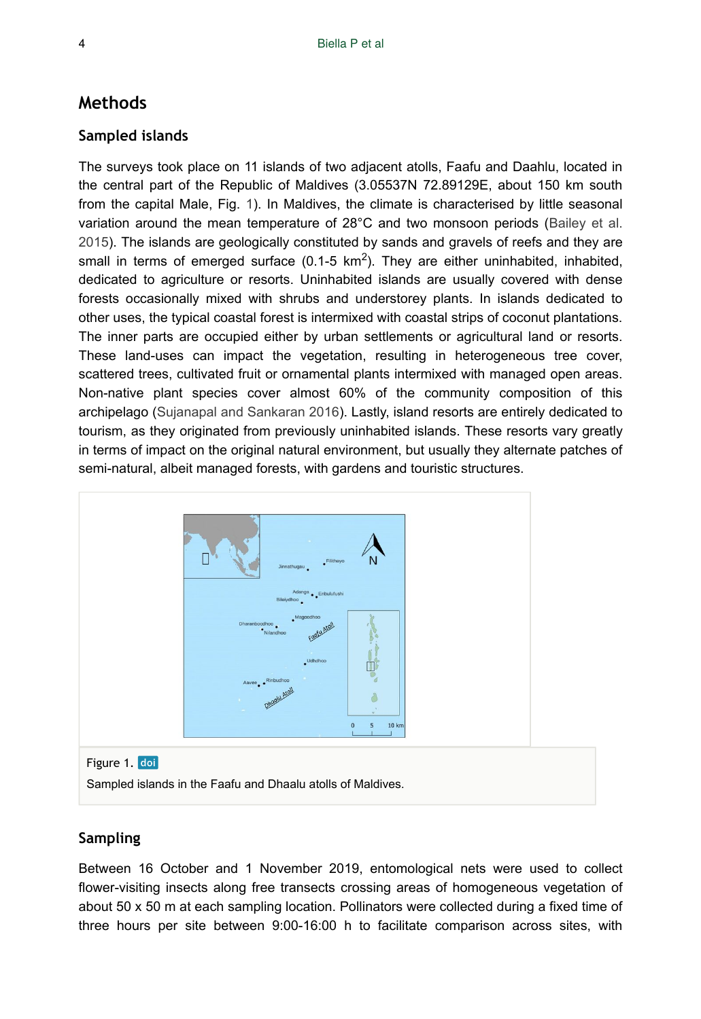## **Methods**

#### **Sampled islands**

The surveys took place on 11 islands of two adjacent atolls, Faafu and Daahlu, located in the central part of the Republic of Maldives (3.05537N 72.89129E, about 150 km south from the capital Male, Fig. [1\)](#page-3-0). In Maldives, the climate is characterised by little seasonal variation around the mean temperature of 28°C and two monsoon periods ([Bailey et al.](#page-21-9) [2015](#page-21-9)). The islands are geologically constituted by sands and gravels of reefs and they are small in terms of emerged surface (0.1-5  $km^2$ ). They are either uninhabited, inhabited, dedicated to agriculture or resorts. Uninhabited islands are usually covered with dense forests occasionally mixed with shrubs and understorey plants. In islands dedicated to other uses, the typical coastal forest is intermixed with coastal strips of coconut plantations. The inner parts are occupied either by urban settlements or agricultural land or resorts. These land-uses can impact the vegetation, resulting in heterogeneous tree cover, scattered trees, cultivated fruit or ornamental plants intermixed with managed open areas. Non-native plant species cover almost 60% of the community composition of this archipelago ([Sujanapal and Sankaran 2016](#page-24-10)). Lastly, island resorts are entirely dedicated to tourism, as they originated from previously uninhabited islands. These resorts vary greatly in terms of impact on the original natural environment, but usually they alternate patches of semi-natural, albeit managed forests, with gardens and touristic structures.

<span id="page-3-0"></span>

Sampled islands in the Faafu and Dhaalu atolls of Maldives.

#### **Sampling**

Between 16 October and 1 November 2019, entomological nets were used to collect flower-visiting insects along free transects crossing areas of homogeneous vegetation of about 50 x 50 m at each sampling location. Pollinators were collected during a fixed time of three hours per site between 9:00-16:00 h to facilitate comparison across sites, with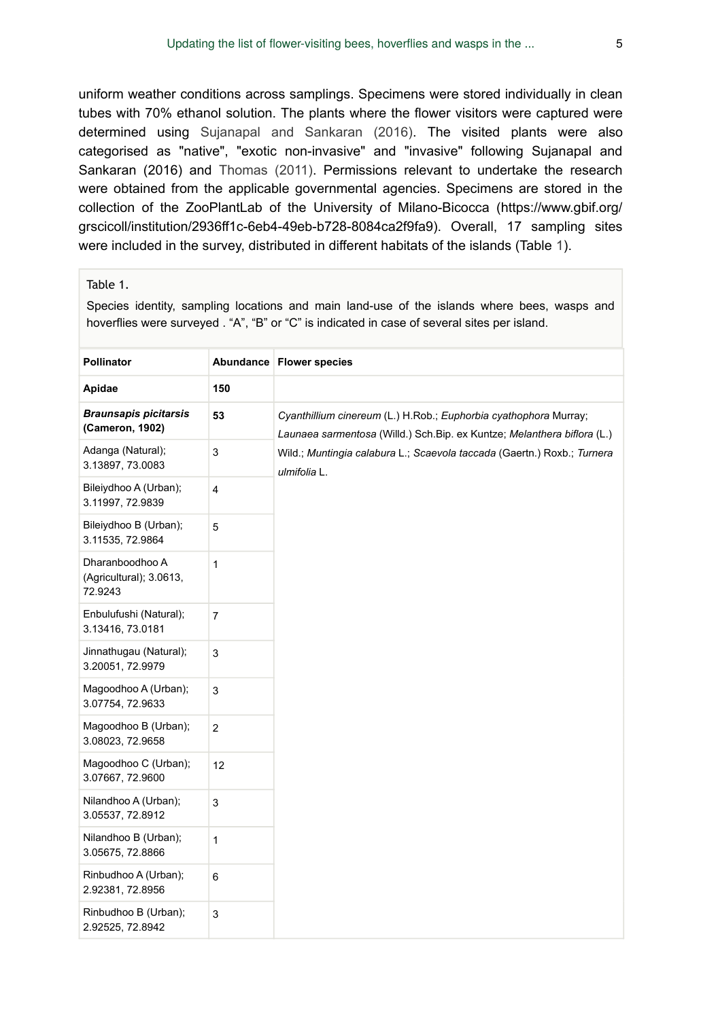uniform weather conditions across samplings. Specimens were stored individually in clean tubes with 70% ethanol solution. The plants where the flower visitors were captured were determined using [Sujanapal and Sankaran \(2016\)](#page-24-10). The visited plants were also categorised as "native", "exotic non-invasive" and "invasive" following Sujanapal and Sankaran (2016) and [Thomas \(2011\).](#page-25-5) Permissions relevant to undertake the research were obtained from the applicable governmental agencies. Specimens are stored in the collection of the ZooPlantLab of the University of Milano-Bicocca (https://www.gbif.org/ grscicoll/institution/2936ff1c-6eb4-49eb-b728-8084ca2f9fa9). Overall, 17 sampling sites were included in the survey, distributed in different habitats of the islands (Table [1\)](#page-4-0).

#### <span id="page-4-0"></span>Table 1.

Species identity, sampling locations and main land-use of the islands where bees, wasps and hoverflies were surveyed . "A", "B" or "C" is indicated in case of several sites per island.

| <b>Pollinator</b>                                     |                | Abundance Flower species                                                                                                                     |
|-------------------------------------------------------|----------------|----------------------------------------------------------------------------------------------------------------------------------------------|
| Apidae                                                | 150            |                                                                                                                                              |
| <b>Braunsapis picitarsis</b><br>(Cameron, 1902)       | 53             | Cyanthillium cinereum (L.) H.Rob.; Euphorbia cyathophora Murray;<br>Launaea sarmentosa (Willd.) Sch. Bip. ex Kuntze; Melanthera biflora (L.) |
| Adanga (Natural);<br>3.13897, 73.0083                 | 3              | Wild.; Muntingia calabura L.; Scaevola taccada (Gaertn.) Roxb.; Turnera<br>ulmifolia L.                                                      |
| Bileiydhoo A (Urban);<br>3.11997, 72.9839             | $\overline{4}$ |                                                                                                                                              |
| Bileiydhoo B (Urban);<br>3.11535, 72.9864             | 5              |                                                                                                                                              |
| Dharanboodhoo A<br>(Agricultural); 3.0613,<br>72.9243 | 1              |                                                                                                                                              |
| Enbulufushi (Natural);<br>3.13416, 73.0181            | 7              |                                                                                                                                              |
| Jinnathugau (Natural);<br>3.20051, 72.9979            | 3              |                                                                                                                                              |
| Magoodhoo A (Urban);<br>3.07754, 72.9633              | 3              |                                                                                                                                              |
| Magoodhoo B (Urban);<br>3.08023, 72.9658              | $\overline{2}$ |                                                                                                                                              |
| Magoodhoo C (Urban);<br>3.07667, 72.9600              | 12             |                                                                                                                                              |
| Nilandhoo A (Urban);<br>3.05537, 72.8912              | 3              |                                                                                                                                              |
| Nilandhoo B (Urban);<br>3.05675, 72.8866              | 1              |                                                                                                                                              |
| Rinbudhoo A (Urban);<br>2.92381, 72.8956              | 6              |                                                                                                                                              |
| Rinbudhoo B (Urban);<br>2.92525, 72.8942              | 3              |                                                                                                                                              |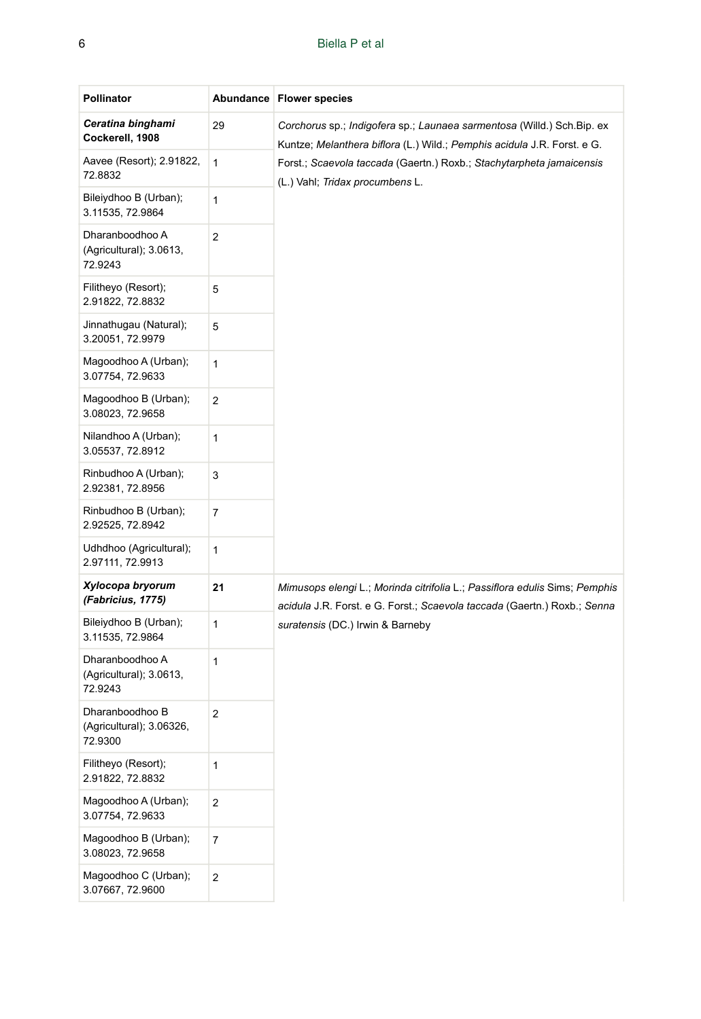#### 6 Biella P et al

| <b>Pollinator</b>                                      |             | Abundance Flower species                                                                                                                               |  |  |  |  |  |
|--------------------------------------------------------|-------------|--------------------------------------------------------------------------------------------------------------------------------------------------------|--|--|--|--|--|
| Ceratina binghami<br>Cockerell, 1908                   | 29          | Corchorus sp.; Indigofera sp.; Launaea sarmentosa (Willd.) Sch. Bip. ex<br>Kuntze; Melanthera biflora (L.) Wild.; Pemphis acidula J.R. Forst. e G.     |  |  |  |  |  |
| Aavee (Resort); 2.91822,<br>72.8832                    | 1           | Forst.; Scaevola taccada (Gaertn.) Roxb.; Stachytarpheta jamaicensis<br>(L.) Vahl; Tridax procumbens L.                                                |  |  |  |  |  |
| Bileiydhoo B (Urban);<br>3.11535, 72.9864              | 1           |                                                                                                                                                        |  |  |  |  |  |
| Dharanboodhoo A<br>(Agricultural); 3.0613,<br>72.9243  | 2           |                                                                                                                                                        |  |  |  |  |  |
| Filitheyo (Resort);<br>2.91822, 72.8832                | 5           |                                                                                                                                                        |  |  |  |  |  |
| Jinnathugau (Natural);<br>3.20051, 72.9979             | 5           |                                                                                                                                                        |  |  |  |  |  |
| Magoodhoo A (Urban);<br>3.07754, 72.9633               | 1           |                                                                                                                                                        |  |  |  |  |  |
| Magoodhoo B (Urban);<br>3.08023, 72.9658               | 2           |                                                                                                                                                        |  |  |  |  |  |
| Nilandhoo A (Urban);<br>3.05537, 72.8912               | 1           |                                                                                                                                                        |  |  |  |  |  |
| Rinbudhoo A (Urban);<br>2.92381, 72.8956               | 3           |                                                                                                                                                        |  |  |  |  |  |
| Rinbudhoo B (Urban);<br>2.92525, 72.8942               | 7           |                                                                                                                                                        |  |  |  |  |  |
| Udhdhoo (Agricultural);<br>2.97111, 72.9913            | 1           |                                                                                                                                                        |  |  |  |  |  |
| Xylocopa bryorum<br>(Fabricius, 1775)                  | 21          | Mimusops elengi L.; Morinda citrifolia L.; Passiflora edulis Sims; Pemphis<br>acidula J.R. Forst. e G. Forst.; Scaevola taccada (Gaertn.) Roxb.; Senna |  |  |  |  |  |
| Bileiydhoo B (Urban);<br>3.11535, 72.9864              | 1           | suratensis (DC.) Irwin & Barneby                                                                                                                       |  |  |  |  |  |
| Dharanboodhoo A<br>(Agricultural); 3.0613,<br>72.9243  | 1           |                                                                                                                                                        |  |  |  |  |  |
| Dharanboodhoo B<br>(Agricultural); 3.06326,<br>72.9300 | 2           |                                                                                                                                                        |  |  |  |  |  |
| Filitheyo (Resort);<br>2.91822, 72.8832                | 1           |                                                                                                                                                        |  |  |  |  |  |
| Magoodhoo A (Urban);<br>3.07754, 72.9633               | 2           |                                                                                                                                                        |  |  |  |  |  |
| Magoodhoo B (Urban);<br>3.08023, 72.9658               | 7           |                                                                                                                                                        |  |  |  |  |  |
| Magoodhoo C (Urban);<br>3.07667, 72.9600               | $\mathbf 2$ |                                                                                                                                                        |  |  |  |  |  |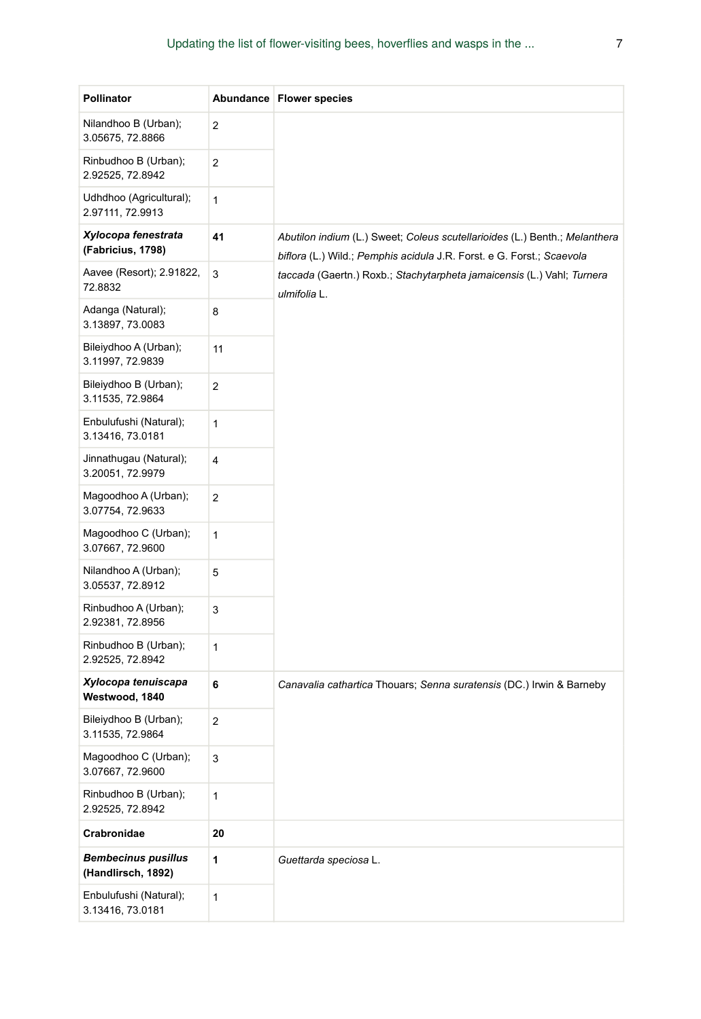| Pollinator                                       |                | Abundance   Flower species                                                                                                                          |
|--------------------------------------------------|----------------|-----------------------------------------------------------------------------------------------------------------------------------------------------|
| Nilandhoo B (Urban);<br>3.05675, 72.8866         | 2              |                                                                                                                                                     |
| Rinbudhoo B (Urban);<br>2.92525, 72.8942         | $\mathbf 2$    |                                                                                                                                                     |
| Udhdhoo (Agricultural);<br>2.97111, 72.9913      | 1              |                                                                                                                                                     |
| Xylocopa fenestrata<br>(Fabricius, 1798)         | 41             | Abutilon indium (L.) Sweet; Coleus scutellarioides (L.) Benth.; Melanthera<br>biflora (L.) Wild.; Pemphis acidula J.R. Forst. e G. Forst.; Scaevola |
| Aavee (Resort); 2.91822,<br>72.8832              | 3              | taccada (Gaertn.) Roxb.; Stachytarpheta jamaicensis (L.) Vahl; Turnera<br>ulmifolia L.                                                              |
| Adanga (Natural);<br>3.13897, 73.0083            | 8              |                                                                                                                                                     |
| Bileiydhoo A (Urban);<br>3.11997, 72.9839        | 11             |                                                                                                                                                     |
| Bileiydhoo B (Urban);<br>3.11535, 72.9864        | $\overline{c}$ |                                                                                                                                                     |
| Enbulufushi (Natural);<br>3.13416, 73.0181       | 1              |                                                                                                                                                     |
| Jinnathugau (Natural);<br>3.20051, 72.9979       | 4              |                                                                                                                                                     |
| Magoodhoo A (Urban);<br>3.07754, 72.9633         | 2              |                                                                                                                                                     |
| Magoodhoo C (Urban);<br>3.07667, 72.9600         | 1              |                                                                                                                                                     |
| Nilandhoo A (Urban);<br>3.05537, 72.8912         | 5              |                                                                                                                                                     |
| Rinbudhoo A (Urban);<br>2.92381, 72.8956         | 3              |                                                                                                                                                     |
| Rinbudhoo B (Urban);<br>2.92525, 72.8942         | 1              |                                                                                                                                                     |
| Xylocopa tenuiscapa<br>Westwood, 1840            | 6              | Canavalia cathartica Thouars; Senna suratensis (DC.) Irwin & Barneby                                                                                |
| Bileiydhoo B (Urban);<br>3.11535, 72.9864        | $\overline{2}$ |                                                                                                                                                     |
| Magoodhoo C (Urban);<br>3.07667, 72.9600         | 3              |                                                                                                                                                     |
| Rinbudhoo B (Urban);<br>2.92525, 72.8942         | 1              |                                                                                                                                                     |
| Crabronidae                                      | 20             |                                                                                                                                                     |
| <b>Bembecinus pusillus</b><br>(Handlirsch, 1892) | 1              | Guettarda speciosa L.                                                                                                                               |
| Enbulufushi (Natural);<br>3.13416, 73.0181       | 1              |                                                                                                                                                     |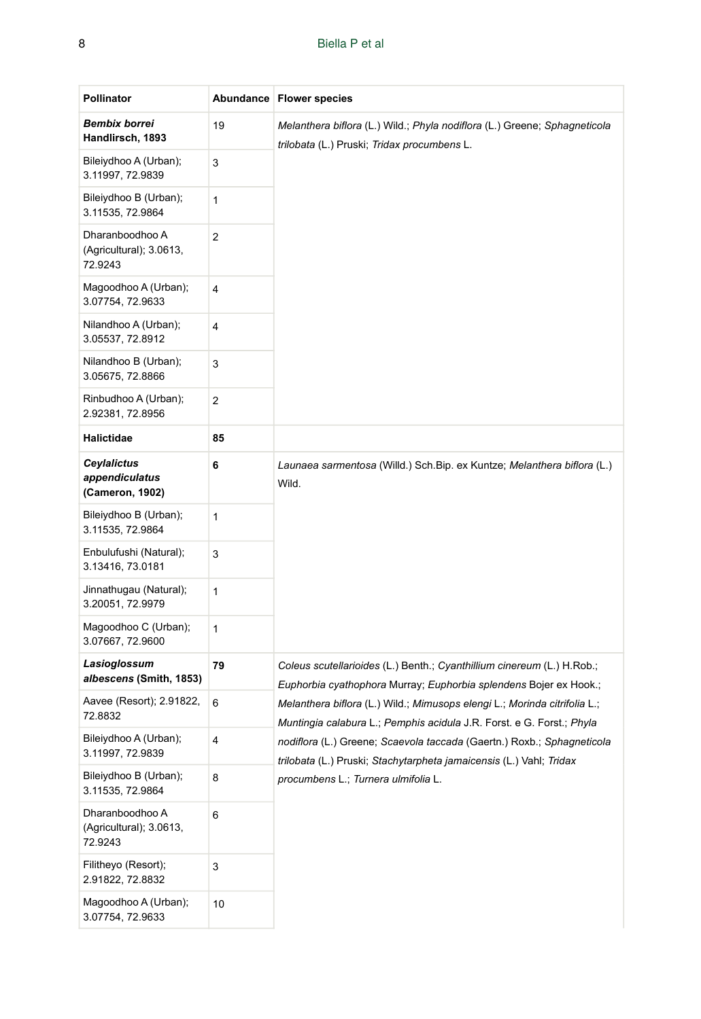#### 8 Biella P et al

| <b>Pollinator</b>                                       |    | Abundance   Flower species                                                                                                                         |
|---------------------------------------------------------|----|----------------------------------------------------------------------------------------------------------------------------------------------------|
| <b>Bembix borrei</b><br>Handlirsch, 1893                | 19 | Melanthera biflora (L.) Wild.; Phyla nodiflora (L.) Greene; Sphagneticola<br>trilobata (L.) Pruski; Tridax procumbens L.                           |
| Bileiydhoo A (Urban);<br>3.11997, 72.9839               | 3  |                                                                                                                                                    |
| Bileiydhoo B (Urban);<br>3.11535, 72.9864               | 1  |                                                                                                                                                    |
| Dharanboodhoo A<br>(Agricultural); 3.0613,<br>72.9243   | 2  |                                                                                                                                                    |
| Magoodhoo A (Urban);<br>3.07754, 72.9633                | 4  |                                                                                                                                                    |
| Nilandhoo A (Urban);<br>3.05537, 72.8912                | 4  |                                                                                                                                                    |
| Nilandhoo B (Urban);<br>3.05675, 72.8866                | 3  |                                                                                                                                                    |
| Rinbudhoo A (Urban);<br>2.92381, 72.8956                | 2  |                                                                                                                                                    |
| Halictidae                                              | 85 |                                                                                                                                                    |
| <b>Ceylalictus</b><br>appendiculatus<br>(Cameron, 1902) | 6  | Launaea sarmentosa (Willd.) Sch. Bip. ex Kuntze; Melanthera biflora (L.)<br>Wild.                                                                  |
| Bileiydhoo B (Urban);<br>3.11535, 72.9864               | 1  |                                                                                                                                                    |
| Enbulufushi (Natural);<br>3.13416, 73.0181              | 3  |                                                                                                                                                    |
| Jinnathugau (Natural);<br>3.20051, 72.9979              | 1  |                                                                                                                                                    |
| Magoodhoo C (Urban);<br>3.07667, 72.9600                | 1  |                                                                                                                                                    |
| Lasioglossum<br>albescens (Smith, 1853)                 | 79 | Coleus scutellarioides (L.) Benth.; Cyanthillium cinereum (L.) H.Rob.;<br>Euphorbia cyathophora Murray; Euphorbia splendens Bojer ex Hook.;        |
| Aavee (Resort); 2.91822,<br>72.8832                     | 6  | Melanthera biflora (L.) Wild.; Mimusops elengi L.; Morinda citrifolia L.;<br>Muntingia calabura L.; Pemphis acidula J.R. Forst. e G. Forst.; Phyla |
| Bileiydhoo A (Urban);<br>3.11997, 72.9839               | 4  | nodiflora (L.) Greene; Scaevola taccada (Gaertn.) Roxb.; Sphagneticola<br>trilobata (L.) Pruski; Stachytarpheta jamaicensis (L.) Vahl; Tridax      |
| Bileiydhoo B (Urban);<br>3.11535, 72.9864               | 8  | procumbens L.; Turnera ulmifolia L.                                                                                                                |
| Dharanboodhoo A<br>(Agricultural); 3.0613,<br>72.9243   | 6  |                                                                                                                                                    |
| Filitheyo (Resort);<br>2.91822, 72.8832                 | 3  |                                                                                                                                                    |
| Magoodhoo A (Urban);<br>3.07754, 72.9633                | 10 |                                                                                                                                                    |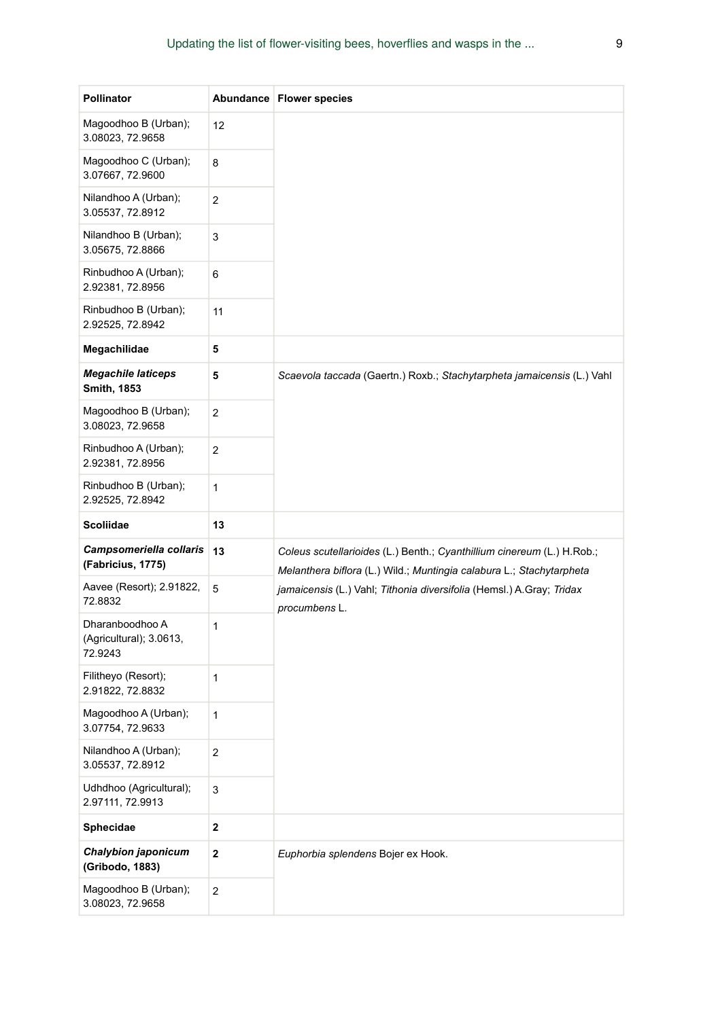| <b>Pollinator</b>                                     |                | Abundance   Flower species                                                                                                                     |  |  |  |  |
|-------------------------------------------------------|----------------|------------------------------------------------------------------------------------------------------------------------------------------------|--|--|--|--|
| Magoodhoo B (Urban);<br>3.08023, 72.9658              | 12             |                                                                                                                                                |  |  |  |  |
| Magoodhoo C (Urban);<br>3.07667, 72.9600              | 8              |                                                                                                                                                |  |  |  |  |
| Nilandhoo A (Urban);<br>3.05537, 72.8912              | 2              |                                                                                                                                                |  |  |  |  |
| Nilandhoo B (Urban);<br>3.05675, 72.8866              | 3              |                                                                                                                                                |  |  |  |  |
| Rinbudhoo A (Urban);<br>2.92381, 72.8956              | 6              |                                                                                                                                                |  |  |  |  |
| Rinbudhoo B (Urban);<br>2.92525, 72.8942              | 11             |                                                                                                                                                |  |  |  |  |
| Megachilidae                                          | 5              |                                                                                                                                                |  |  |  |  |
| <b>Megachile laticeps</b><br>Smith, 1853              | 5              | Scaevola taccada (Gaertn.) Roxb.; Stachytarpheta jamaicensis (L.) Vahl                                                                         |  |  |  |  |
| Magoodhoo B (Urban);<br>3.08023, 72.9658              | 2              |                                                                                                                                                |  |  |  |  |
| Rinbudhoo A (Urban);<br>2.92381, 72.8956              | 2              |                                                                                                                                                |  |  |  |  |
| Rinbudhoo B (Urban);<br>2.92525, 72.8942              | 1              |                                                                                                                                                |  |  |  |  |
| <b>Scoliidae</b>                                      | 13             |                                                                                                                                                |  |  |  |  |
| Campsomeriella collaris<br>(Fabricius, 1775)          | 13             | Coleus scutellarioides (L.) Benth.; Cyanthillium cinereum (L.) H.Rob.;<br>Melanthera biflora (L.) Wild.; Muntingia calabura L.; Stachytarpheta |  |  |  |  |
| Aavee (Resort); 2.91822,<br>72.8832                   | 5              | jamaicensis (L.) Vahl; Tithonia diversifolia (Hemsl.) A.Gray; Tridax<br>procumbens L.                                                          |  |  |  |  |
| Dharanboodhoo A<br>(Agricultural); 3.0613,<br>72.9243 | 1              |                                                                                                                                                |  |  |  |  |
| Filitheyo (Resort);<br>2.91822, 72.8832               | 1              |                                                                                                                                                |  |  |  |  |
| Magoodhoo A (Urban);<br>3.07754, 72.9633              | 1              |                                                                                                                                                |  |  |  |  |
| Nilandhoo A (Urban);<br>3.05537, 72.8912              | 2              |                                                                                                                                                |  |  |  |  |
| Udhdhoo (Agricultural);<br>2.97111, 72.9913           | 3              |                                                                                                                                                |  |  |  |  |
| Sphecidae                                             | $\mathbf 2$    |                                                                                                                                                |  |  |  |  |
| Chalybion japonicum<br>(Gribodo, 1883)                | $\mathbf 2$    | Euphorbia splendens Bojer ex Hook.                                                                                                             |  |  |  |  |
| Magoodhoo B (Urban);<br>3.08023, 72.9658              | $\overline{c}$ |                                                                                                                                                |  |  |  |  |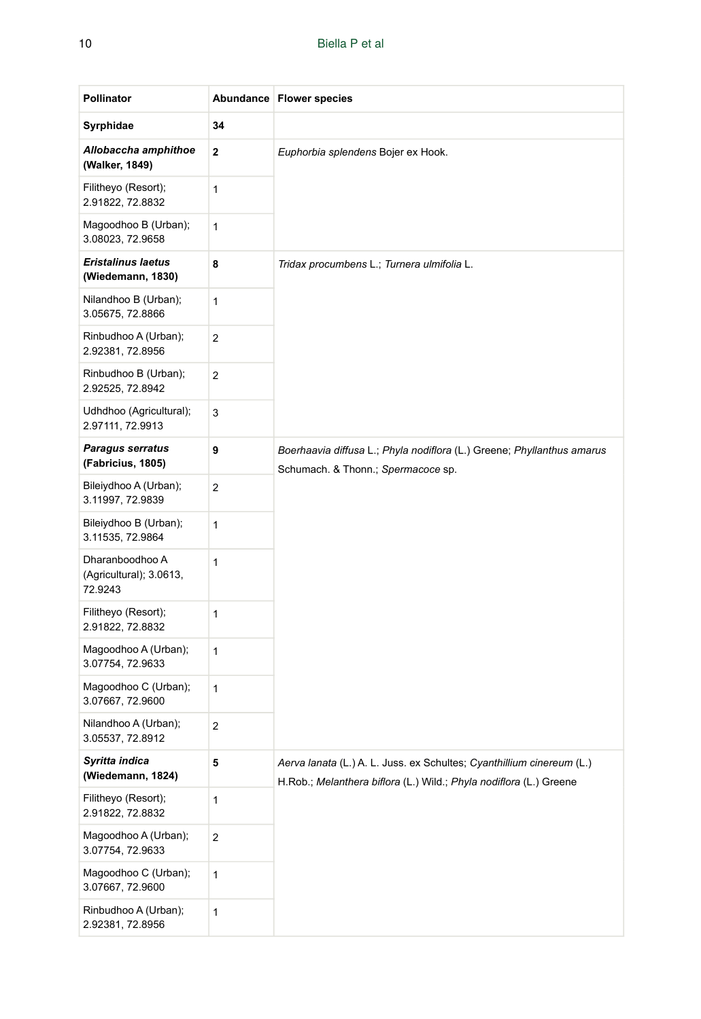| <b>Pollinator</b>                                     |              | Abundance   Flower species                                                                                                                  |  |  |  |  |  |
|-------------------------------------------------------|--------------|---------------------------------------------------------------------------------------------------------------------------------------------|--|--|--|--|--|
| Syrphidae                                             | 34           |                                                                                                                                             |  |  |  |  |  |
| Allobaccha amphithoe<br>(Walker, 1849)                | $\mathbf{2}$ | Euphorbia splendens Bojer ex Hook.                                                                                                          |  |  |  |  |  |
| Filitheyo (Resort);<br>2.91822, 72.8832               | 1            |                                                                                                                                             |  |  |  |  |  |
| Magoodhoo B (Urban);<br>3.08023, 72.9658              | 1            |                                                                                                                                             |  |  |  |  |  |
| <b>Eristalinus laetus</b><br>(Wiedemann, 1830)        | 8            | Tridax procumbens L.; Turnera ulmifolia L.                                                                                                  |  |  |  |  |  |
| Nilandhoo B (Urban);<br>3.05675, 72.8866              | 1            |                                                                                                                                             |  |  |  |  |  |
| Rinbudhoo A (Urban);<br>2.92381, 72.8956              | 2            |                                                                                                                                             |  |  |  |  |  |
| Rinbudhoo B (Urban);<br>2.92525, 72.8942              | 2            |                                                                                                                                             |  |  |  |  |  |
| Udhdhoo (Agricultural);<br>2.97111, 72.9913           | 3            |                                                                                                                                             |  |  |  |  |  |
| <b>Paragus serratus</b><br>(Fabricius, 1805)          | 9            | Boerhaavia diffusa L.; Phyla nodiflora (L.) Greene; Phyllanthus amarus<br>Schumach. & Thonn.; Spermacoce sp.                                |  |  |  |  |  |
| Bileiydhoo A (Urban);<br>3.11997, 72.9839             | $\mathbf 2$  |                                                                                                                                             |  |  |  |  |  |
| Bileiydhoo B (Urban);<br>3.11535, 72.9864             | 1            |                                                                                                                                             |  |  |  |  |  |
| Dharanboodhoo A<br>(Agricultural); 3.0613,<br>72.9243 | 1            |                                                                                                                                             |  |  |  |  |  |
| Filitheyo (Resort);<br>2.91822, 72.8832               | 1            |                                                                                                                                             |  |  |  |  |  |
| Magoodhoo A (Urban);<br>3.07754, 72.9633              | 1            |                                                                                                                                             |  |  |  |  |  |
| Magoodhoo C (Urban);<br>3.07667, 72.9600              | $\mathbf{1}$ |                                                                                                                                             |  |  |  |  |  |
| Nilandhoo A (Urban);<br>3.05537, 72.8912              | 2            |                                                                                                                                             |  |  |  |  |  |
| Syritta indica<br>(Wiedemann, 1824)                   | 5            | Aerva lanata (L.) A. L. Juss. ex Schultes; Cyanthillium cinereum (L.)<br>H.Rob.; Melanthera biflora (L.) Wild.; Phyla nodiflora (L.) Greene |  |  |  |  |  |
| Filitheyo (Resort);<br>2.91822, 72.8832               | 1            |                                                                                                                                             |  |  |  |  |  |
| Magoodhoo A (Urban);<br>3.07754, 72.9633              | $\mathbf 2$  |                                                                                                                                             |  |  |  |  |  |
| Magoodhoo C (Urban);<br>3.07667, 72.9600              | $\mathbf{1}$ |                                                                                                                                             |  |  |  |  |  |
| Rinbudhoo A (Urban);<br>2.92381, 72.8956              | 1            |                                                                                                                                             |  |  |  |  |  |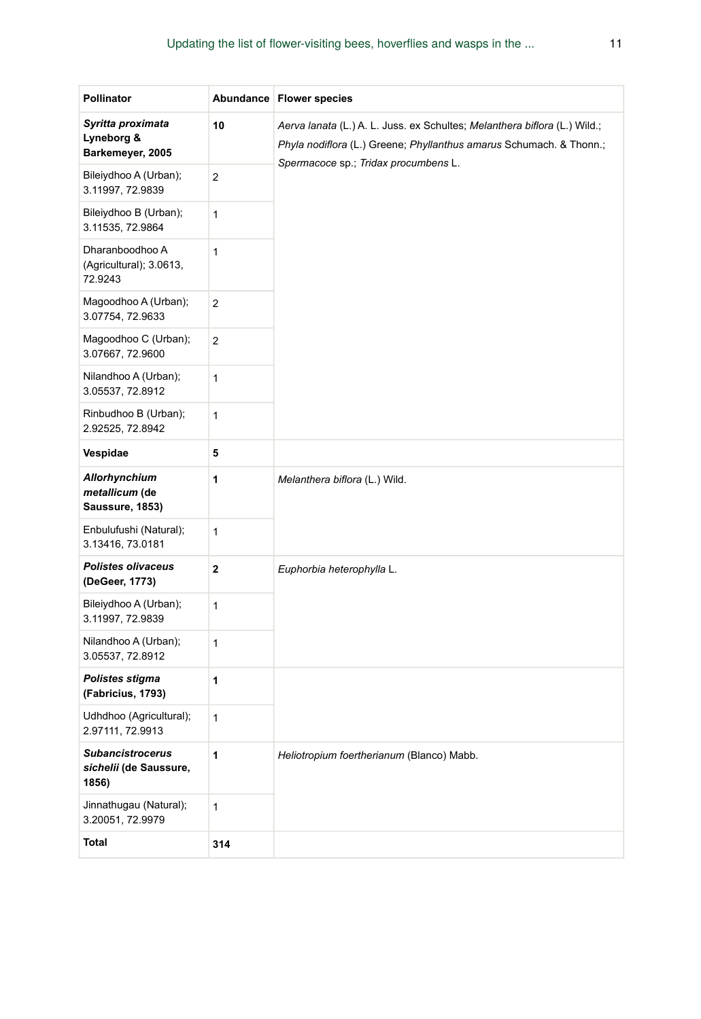| Pollinator                                                 |                | Abundance   Flower species                                                                                                                                                               |
|------------------------------------------------------------|----------------|------------------------------------------------------------------------------------------------------------------------------------------------------------------------------------------|
| Syritta proximata<br>Lyneborg &<br>Barkemeyer, 2005        | 10             | Aerva lanata (L.) A. L. Juss. ex Schultes; Melanthera biflora (L.) Wild.;<br>Phyla nodiflora (L.) Greene; Phyllanthus amarus Schumach. & Thonn.;<br>Spermacoce sp.; Tridax procumbens L. |
| Bileiydhoo A (Urban);<br>3.11997, 72.9839                  | $\overline{2}$ |                                                                                                                                                                                          |
| Bileiydhoo B (Urban);<br>3.11535, 72.9864                  | 1              |                                                                                                                                                                                          |
| Dharanboodhoo A<br>(Agricultural); 3.0613,<br>72.9243      | 1              |                                                                                                                                                                                          |
| Magoodhoo A (Urban);<br>3.07754, 72.9633                   | $\overline{c}$ |                                                                                                                                                                                          |
| Magoodhoo C (Urban);<br>3.07667, 72.9600                   | $\overline{c}$ |                                                                                                                                                                                          |
| Nilandhoo A (Urban);<br>3.05537, 72.8912                   | 1              |                                                                                                                                                                                          |
| Rinbudhoo B (Urban);<br>2.92525, 72.8942                   | 1              |                                                                                                                                                                                          |
| Vespidae                                                   | 5              |                                                                                                                                                                                          |
| <b>Allorhynchium</b><br>metallicum (de<br>Saussure, 1853)  | 1              | Melanthera biflora (L.) Wild.                                                                                                                                                            |
| Enbulufushi (Natural);<br>3.13416, 73.0181                 | 1              |                                                                                                                                                                                          |
| <b>Polistes olivaceus</b><br>(DeGeer, 1773)                | 2              | Euphorbia heterophylla L.                                                                                                                                                                |
| Bileiydhoo A (Urban);<br>3.11997, 72.9839                  | 1              |                                                                                                                                                                                          |
| Nilandhoo A (Urban);<br>3.05537, 72.8912                   | 1              |                                                                                                                                                                                          |
| Polistes stigma<br>(Fabricius, 1793)                       | 1              |                                                                                                                                                                                          |
| Udhdhoo (Agricultural);<br>2.97111, 72.9913                | 1              |                                                                                                                                                                                          |
| <b>Subancistrocerus</b><br>sichelii (de Saussure,<br>1856) | 1              | Heliotropium foertherianum (Blanco) Mabb.                                                                                                                                                |
| Jinnathugau (Natural);<br>3.20051, 72.9979                 | 1              |                                                                                                                                                                                          |
| <b>Total</b>                                               | 314            |                                                                                                                                                                                          |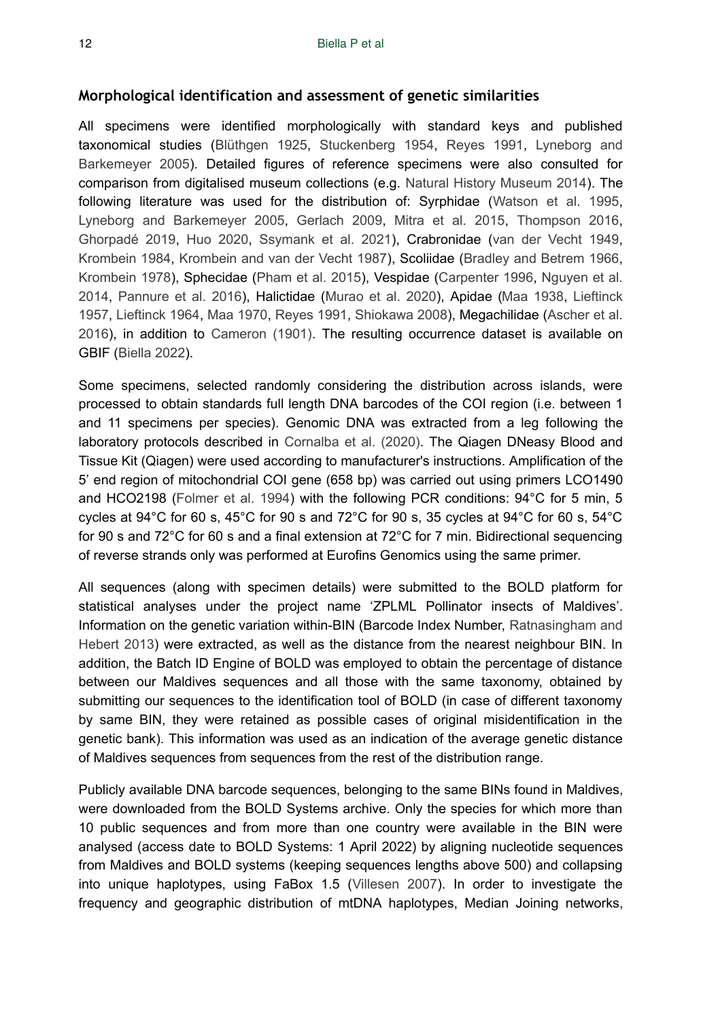#### **Morphological identification and assessment of genetic similarities**

All specimens were identified morphologically with standard keys and published taxonomical studies ([Blüthgen 1925,](#page-21-6) [Stuckenberg 1954](#page-24-11), [Reyes 1991](#page-24-9), [Lyneborg and](#page-23-3) [Barkemeyer 2005](#page-23-3)). Detailed figures of reference specimens were also consulted for comparison from digitalised museum collections (e.g. [Natural History Museum 2014](#page-23-4)). The following literature was used for the distribution of: Syrphidae ([Watson et al. 1995,](#page-25-4) [Lyneborg and Barkemeyer 2005,](#page-23-3) [Gerlach 2009,](#page-22-7) [Mitra et al. 2015,](#page-23-5) [Thompson 2016,](#page-25-6) [Ghorpadé 2019](#page-22-8), [Huo 2020,](#page-22-9) [Ssymank et al. 2021](#page-24-12)), Crabronidae ([van der Vecht 1949,](#page-25-7) [Krombein 1984,](#page-22-10) [Krombein and van der Vecht 1987](#page-22-11)), Scoliidae [\(Bradley and Betrem 1966,](#page-21-10) [Krombein 1978](#page-22-12)), Sphecidae [\(Pham et al. 2015\)](#page-23-6), Vespidae [\(Carpenter 1996,](#page-21-11) [Nguyen et al.](#page-23-7) [2014](#page-23-7), [Pannure et al. 2016](#page-23-8)), Halictidae ([Murao et al. 2020\)](#page-23-9), Apidae [\(Maa 1938,](#page-23-10) [Lieftinck](#page-23-11) [1957](#page-23-11), [Lieftinck 1964](#page-23-12), [Maa 1970](#page-23-13), [Reyes 1991,](#page-24-9) [Shiokawa 2008](#page-24-13)), Megachilidae [\(Ascher et al.](#page-21-12) [2016](#page-21-12)), in addition to [Cameron \(1901\).](#page-21-5) The resulting occurrence dataset is available on GBIF ([Biella 2022](#page-21-13)).

Some specimens, selected randomly considering the distribution across islands, were processed to obtain standards full length DNA barcodes of the COI region (i.e. between 1 and 11 specimens per species). Genomic DNA was extracted from a leg following the laboratory protocols described in [Cornalba et al. \(2020\)](#page-21-8). The Qiagen DNeasy Blood and Tissue Kit (Qiagen) were used according to manufacturer's instructions. Amplification of the 5' end region of mitochondrial COI gene (658 bp) was carried out using primers LCO1490 and HCO2198 ([Folmer et al. 1994](#page-22-13)) with the following PCR conditions: 94°C for 5 min, 5 cycles at 94°C for 60 s, 45°C for 90 s and 72°C for 90 s, 35 cycles at 94°C for 60 s, 54°C for 90 s and 72°C for 60 s and a final extension at 72°C for 7 min. Bidirectional sequencing of reverse strands only was performed at Eurofins Genomics using the same primer.

All sequences (along with specimen details) were submitted to the BOLD platform for statistical analyses under the project name 'ZPLML Pollinator insects of Maldives'. Information on the genetic variation within-BIN (Barcode Index Number, [Ratnasingham and](#page-24-14) [Hebert 2013\)](#page-24-14) were extracted, as well as the distance from the nearest neighbour BIN. In addition, the Batch ID Engine of BOLD was employed to obtain the percentage of distance between our Maldives sequences and all those with the same taxonomy, obtained by submitting our sequences to the identification tool of BOLD (in case of different taxonomy by same BIN, they were retained as possible cases of original misidentification in the genetic bank). This information was used as an indication of the average genetic distance of Maldives sequences from sequences from the rest of the distribution range.

Publicly available DNA barcode sequences, belonging to the same BINs found in Maldives, were downloaded from the BOLD Systems archive. Only the species for which more than 10 public sequences and from more than one country were available in the BIN were analysed (access date to BOLD Systems: 1 April 2022) by aligning nucleotide sequences from Maldives and BOLD systems (keeping sequences lengths above 500) and collapsing into unique haplotypes, using FaBox 1.5 ([Villesen 2007\)](#page-25-8). In order to investigate the frequency and geographic distribution of mtDNA haplotypes, Median Joining networks,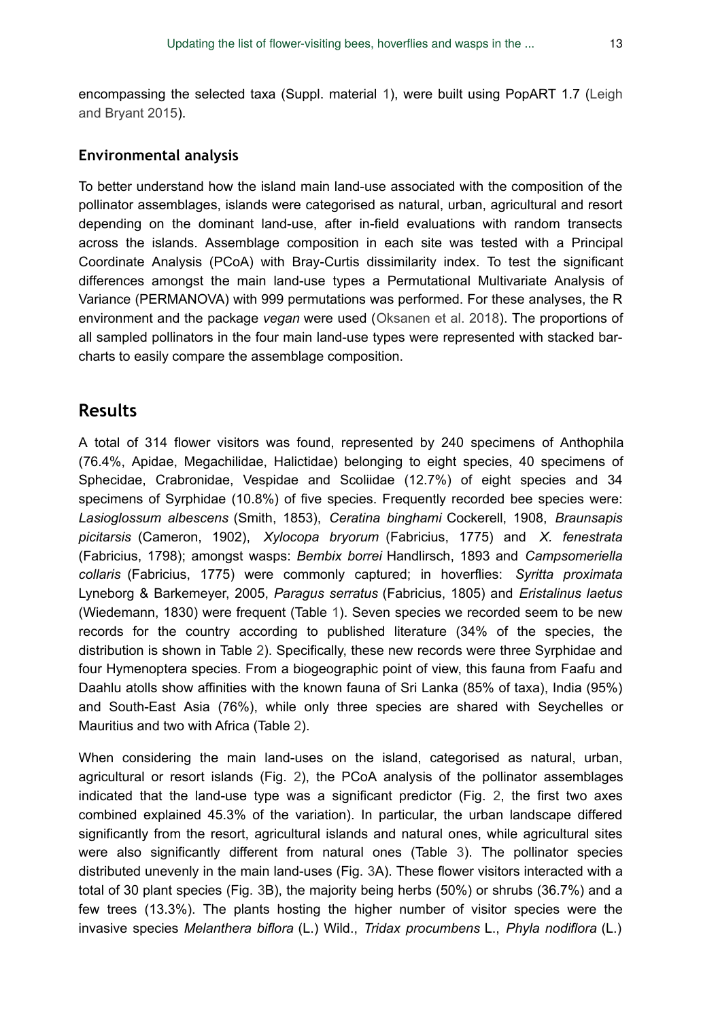encompassing the selected taxa (Suppl. material [1](#page-25-9)), were built using PopART 1.7 [\(Leigh](#page-23-14) [and Bryant 2015](#page-23-14)).

#### **Environmental analysis**

To better understand how the island main land-use associated with the composition of the pollinator assemblages, islands were categorised as natural, urban, agricultural and resort depending on the dominant land-use, after in-field evaluations with random transects across the islands. Assemblage composition in each site was tested with a Principal Coordinate Analysis (PCoA) with Bray-Curtis dissimilarity index. To test the significant differences amongst the main land-use types a Permutational Multivariate Analysis of Variance (PERMANOVA) with 999 permutations was performed. For these analyses, the R environment and the package *vegan* were used ([Oksanen et al. 2018\)](#page-23-15). The proportions of all sampled pollinators in the four main land-use types were represented with stacked barcharts to easily compare the assemblage composition.

## **Results**

A total of 314 flower visitors was found, represented by 240 specimens of Anthophila (76.4%, Apidae, Megachilidae, Halictidae) belonging to eight species, 40 specimens of Sphecidae, Crabronidae, Vespidae and Scoliidae (12.7%) of eight species and 34 specimens of Syrphidae (10.8%) of five species. Frequently recorded bee species were: *Lasioglossum albescens* (Smith, 1853), *Ceratina binghami* Cockerell, 1908, *Braunsapis picitarsis* (Cameron, 1902), *Xylocopa bryorum* (Fabricius, 1775) and *X. fenestrata* (Fabricius, 1798); amongst wasps: *Bembix borrei* Handlirsch, 1893 and *Campsomeriella collaris* (Fabricius, 1775) were commonly captured; in hoverflies: *Syritta proximata* Lyneborg & Barkemeyer, 2005, *Paragus serratus* (Fabricius, 1805) and *Eristalinus laetus* (Wiedemann, 1830) were frequent (Table [1](#page-4-0)). Seven species we recorded seem to be new records for the country according to published literature (34% of the species, the distribution is shown in Table [2](#page-13-0)). Specifically, these new records were three Syrphidae and four Hymenoptera species. From a biogeographic point of view, this fauna from Faafu and Daahlu atolls show affinities with the known fauna of Sri Lanka (85% of taxa), India (95%) and South-East Asia (76%), while only three species are shared with Seychelles or Mauritius and two with Africa (Table [2](#page-13-0)).

When considering the main land-uses on the island, categorised as natural, urban, agricultural or resort islands (Fig. [2\)](#page-15-0), the PCoA analysis of the pollinator assemblages indicated that the land-use type was a significant predictor (Fig. [2,](#page-15-0) the first two axes combined explained 45.3% of the variation). In particular, the urban landscape differed significantly from the resort, agricultural islands and natural ones, while agricultural sites were also significantly different from natural ones (Table [3\)](#page-14-0). The pollinator species distributed unevenly in the main land-uses (Fig. [3](#page-15-1)A). These flower visitors interacted with a total of 30 plant species (Fig. [3B](#page-15-1)), the majority being herbs (50%) or shrubs (36.7%) and a few trees (13.3%). The plants hosting the higher number of visitor species were the invasive species *Melanthera biflora* (L.) Wild., *Tridax procumbens* L., *Phyla nodiflora* (L.)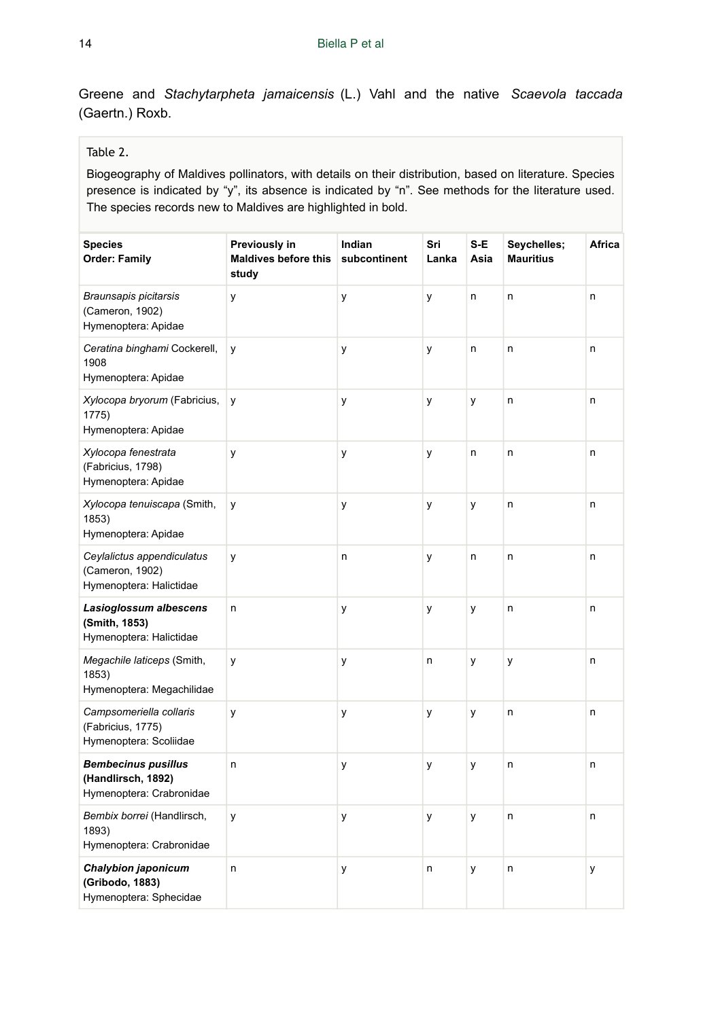Greene and *Stachytarpheta jamaicensis* (L.) Vahl and the native *Scaevola taccada* (Gaertn.) Roxb.

#### <span id="page-13-0"></span>Table 2.

Biogeography of Maldives pollinators, with details on their distribution, based on literature. Species presence is indicated by "y", its absence is indicated by "n". See methods for the literature used. The species records new to Maldives are highlighted in bold.

| <b>Species</b><br><b>Order: Family</b>                                       | Previously in<br><b>Maldives before this</b><br>study | Indian<br>subcontinent | Sri<br>Lanka | S-E<br>Asia | Seychelles;<br><b>Mauritius</b> | Africa |
|------------------------------------------------------------------------------|-------------------------------------------------------|------------------------|--------------|-------------|---------------------------------|--------|
| Braunsapis picitarsis<br>(Cameron, 1902)<br>Hymenoptera: Apidae              | y                                                     | y                      | y            | n           | n                               | n      |
| Ceratina binghami Cockerell,<br>1908<br>Hymenoptera: Apidae                  | y                                                     | у                      | У            | n           | n                               | n      |
| Xylocopa bryorum (Fabricius,<br>1775)<br>Hymenoptera: Apidae                 | y                                                     | у                      | у            | у           | n                               | n      |
| Xylocopa fenestrata<br>(Fabricius, 1798)<br>Hymenoptera: Apidae              | y                                                     | y                      | у            | n           | n                               | n      |
| Xylocopa tenuiscapa (Smith,<br>1853)<br>Hymenoptera: Apidae                  | y                                                     | у                      | у            | y           | n                               | n      |
| Ceylalictus appendiculatus<br>(Cameron, 1902)<br>Hymenoptera: Halictidae     | y                                                     | n                      | у            | n           | n                               | n      |
| Lasioglossum albescens<br>(Smith, 1853)<br>Hymenoptera: Halictidae           | n                                                     | у                      | у            | у           | n                               | n      |
| Megachile laticeps (Smith,<br>1853)<br>Hymenoptera: Megachilidae             | y                                                     | у                      | n            | у           | y                               | n      |
| Campsomeriella collaris<br>(Fabricius, 1775)<br>Hymenoptera: Scoliidae       | y                                                     | у                      | у            | y           | n                               | n      |
| <b>Bembecinus pusillus</b><br>(Handlirsch, 1892)<br>Hymenoptera: Crabronidae | n                                                     | у                      | у            | у           | n                               | n      |
| Bembix borrei (Handlirsch,<br>1893)<br>Hymenoptera: Crabronidae              | у                                                     | у                      | У            | у           | n                               | n      |
| Chalybion japonicum<br>(Gribodo, 1883)<br>Hymenoptera: Sphecidae             | n                                                     | y                      | n            | y           | n                               | у      |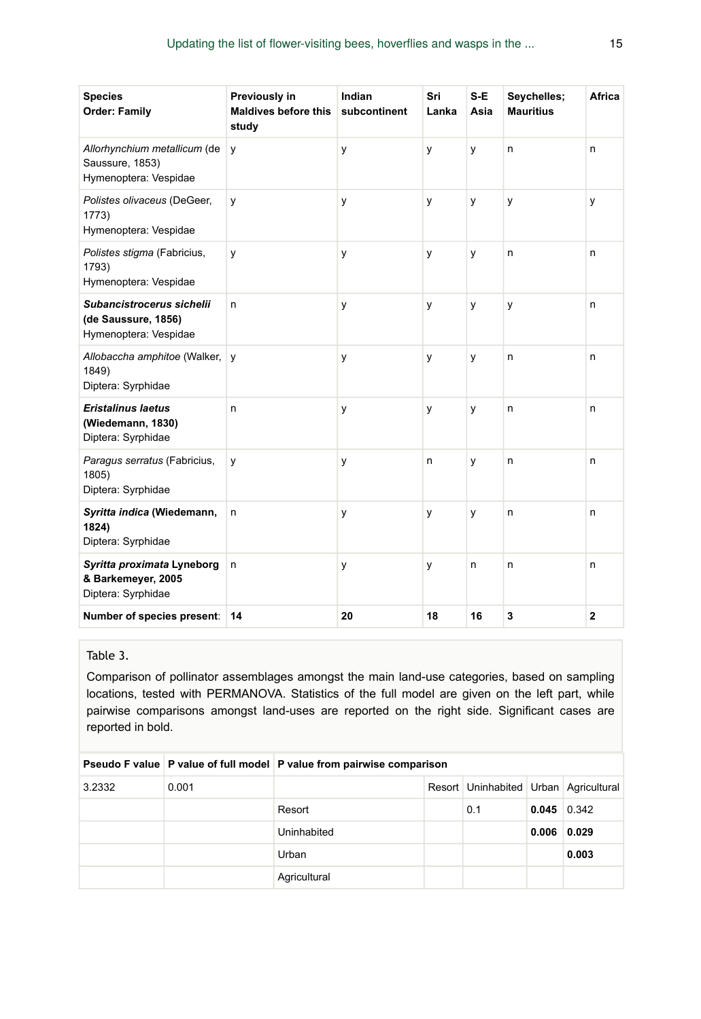| <b>Species</b><br><b>Order: Family</b>                                    | Previously in<br><b>Maldives before this</b><br>study | Indian<br>subcontinent | Sri<br>Lanka | S-E<br>Asia | Seychelles;<br><b>Mauritius</b> | <b>Africa</b> |
|---------------------------------------------------------------------------|-------------------------------------------------------|------------------------|--------------|-------------|---------------------------------|---------------|
| Allorhynchium metallicum (de<br>Saussure, 1853)<br>Hymenoptera: Vespidae  | У                                                     | y                      | y            | y           | n                               | n             |
| Polistes olivaceus (DeGeer,<br>1773)<br>Hymenoptera: Vespidae             | У                                                     | y                      | y            | y           | y                               | y             |
| Polistes stigma (Fabricius,<br>1793)<br>Hymenoptera: Vespidae             | у                                                     | y                      | у            | у           | n                               | n             |
| Subancistrocerus sichelii<br>(de Saussure, 1856)<br>Hymenoptera: Vespidae | n                                                     | у                      | у            | у           | y                               | n             |
| Allobaccha amphitoe (Walker,<br>1849)<br>Diptera: Syrphidae               | y                                                     | у                      | у            | У           | n                               | n             |
| <b>Eristalinus laetus</b><br>(Wiedemann, 1830)<br>Diptera: Syrphidae      | n                                                     | y                      | y            | y           | n                               | n             |
| Paragus serratus (Fabricius,<br>1805)<br>Diptera: Syrphidae               | y                                                     | у                      | n            | y           | n                               | n             |
| Syritta indica (Wiedemann,<br>1824)<br>Diptera: Syrphidae                 | n                                                     | у                      | y            | y           | n                               | n             |
| Syritta proximata Lyneborg<br>& Barkemeyer, 2005<br>Diptera: Syrphidae    | n                                                     | у                      | y            | n           | n                               | n             |
| Number of species present:                                                | 14                                                    | 20                     | 18           | 16          | 3                               | $\mathbf{2}$  |

#### <span id="page-14-0"></span>Table 3.

Comparison of pollinator assemblages amongst the main land-use categories, based on sampling locations, tested with PERMANOVA. Statistics of the full model are given on the left part, while pairwise comparisons amongst land-uses are reported on the right side. Significant cases are reported in bold.

|        |       | Pseudo F value   P value of full model   P value from pairwise comparison |  |                                       |               |       |  |
|--------|-------|---------------------------------------------------------------------------|--|---------------------------------------|---------------|-------|--|
| 3.2332 | 0.001 |                                                                           |  | Resort Uninhabited Urban Agricultural |               |       |  |
|        |       | Resort                                                                    |  | 0.1                                   | $0.045$ 0.342 |       |  |
|        |       | Uninhabited                                                               |  |                                       | 0.006         | 0.029 |  |
|        |       | Urban                                                                     |  |                                       |               | 0.003 |  |
|        |       | Agricultural                                                              |  |                                       |               |       |  |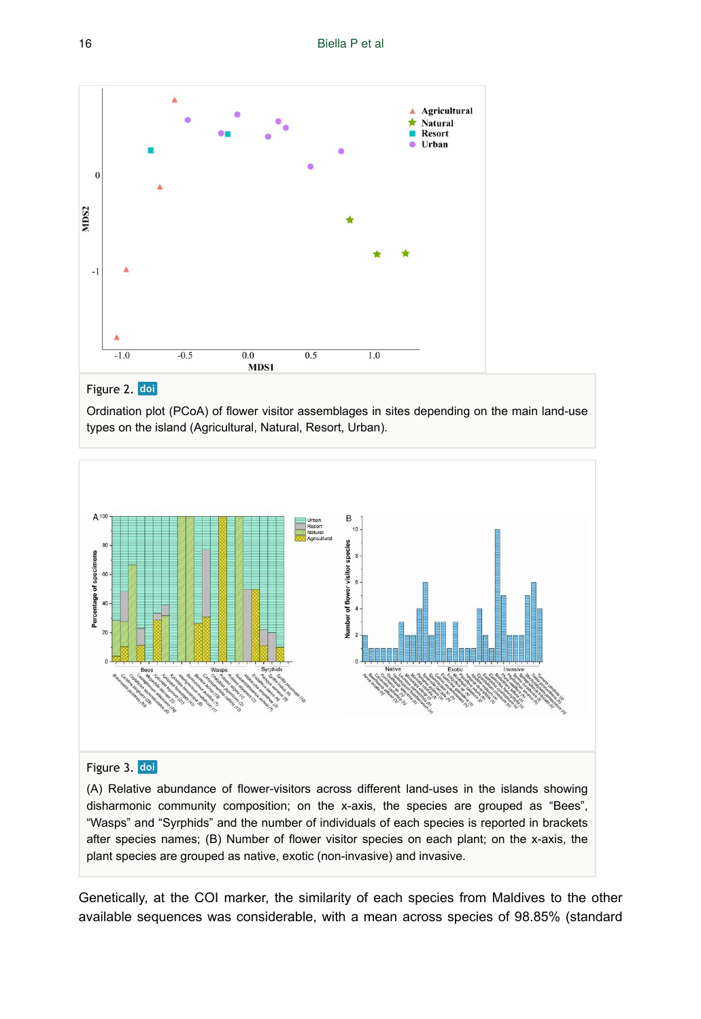<span id="page-15-0"></span>

## Figure 2. doi

Ordination plot (PCoA) of flower visitor assemblages in sites depending on the main land-use types on the island (Agricultural, Natural, Resort, Urban).

<span id="page-15-1"></span>

#### Figure 3. doi

(A) Relative abundance of flower-visitors across different land-uses in the islands showing disharmonic community composition; on the x-axis, the species are grouped as "Bees", "Wasps" and "Syrphids" and the number of individuals of each species is reported in brackets after species names; (B) Number of flower visitor species on each plant; on the x-axis, the plant species are grouped as native, exotic (non-invasive) and invasive.

Genetically, at the COI marker, the similarity of each species from Maldives to the other available sequences was considerable, with a mean across species of 98.85% (standard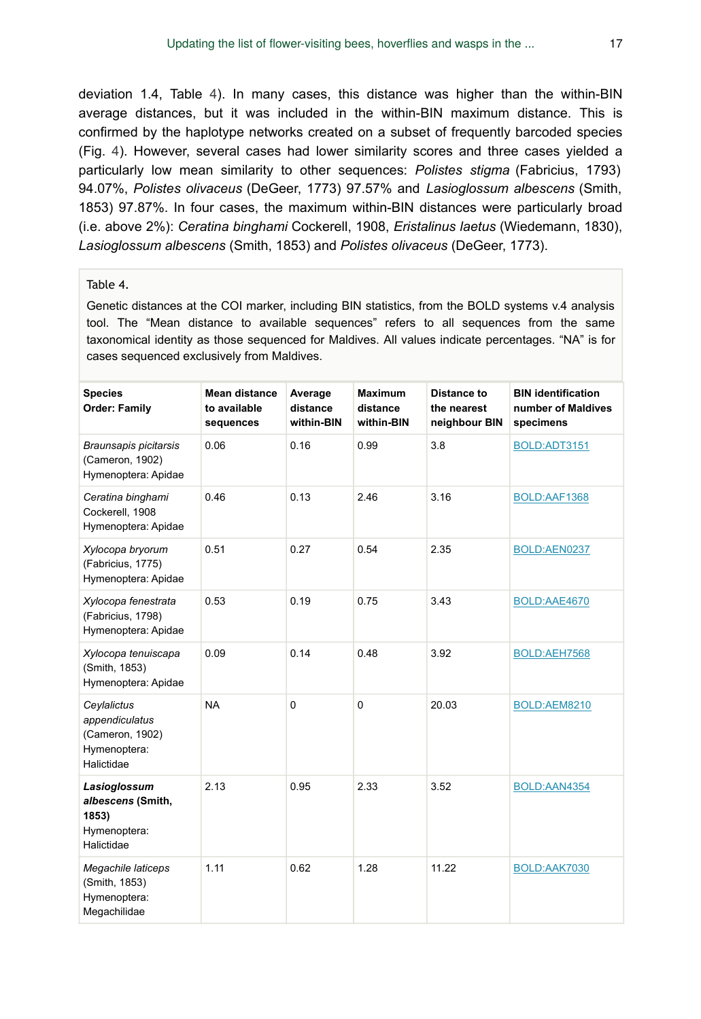deviation 1.4, Table [4\)](#page-16-0). In many cases, this distance was higher than the within-BIN average distances, but it was included in the within-BIN maximum distance. This is confirmed by the haplotype networks created on a subset of frequently barcoded species (Fig. [4\)](#page-18-0). However, several cases had lower similarity scores and three cases yielded a particularly low mean similarity to other sequences: *Polistes stigma* (Fabricius, 1793) 94.07%, *Polistes olivaceus* (DeGeer, 1773) 97.57% and *Lasioglossum albescens* (Smith, 1853) 97.87%. In four cases, the maximum within-BIN distances were particularly broad (i.e. above 2%): *Ceratina binghami* Cockerell, 1908, *Eristalinus laetus* (Wiedemann, 1830), *Lasioglossum albescens* (Smith, 1853) and *Polistes olivaceus* (DeGeer, 1773).

#### <span id="page-16-0"></span>Table 4.

Genetic distances at the COI marker, including BIN statistics, from the BOLD systems v.4 analysis tool. The "Mean distance to available sequences" refers to all sequences from the same taxonomical identity as those sequenced for Maldives. All values indicate percentages. "NA" is for cases sequenced exclusively from Maldives.

| <b>Species</b><br><b>Order: Family</b>                                         | <b>Mean distance</b><br>to available<br>sequences | Average<br>distance<br>within-BIN | <b>Maximum</b><br>distance<br>within-BIN | <b>Distance to</b><br>the nearest<br>neighbour BIN | <b>BIN identification</b><br>number of Maldives<br>specimens |
|--------------------------------------------------------------------------------|---------------------------------------------------|-----------------------------------|------------------------------------------|----------------------------------------------------|--------------------------------------------------------------|
| Braunsapis picitarsis<br>(Cameron, 1902)<br>Hymenoptera: Apidae                | 0.06                                              | 0.16                              | 0.99                                     | 3.8                                                | BOLD:ADT3151                                                 |
| Ceratina binghami<br>Cockerell, 1908<br>Hymenoptera: Apidae                    | 0.46                                              | 0.13                              | 2.46                                     | 3.16                                               | BOLD:AAF1368                                                 |
| Xylocopa bryorum<br>(Fabricius, 1775)<br>Hymenoptera: Apidae                   | 0.51                                              | 0.27                              | 0.54                                     | 2.35                                               | BOLD:AEN0237                                                 |
| Xylocopa fenestrata<br>(Fabricius, 1798)<br>Hymenoptera: Apidae                | 0.53                                              | 0.19                              | 0.75                                     | 3.43                                               | BOLD:AAE4670                                                 |
| Xylocopa tenuiscapa<br>(Smith, 1853)<br>Hymenoptera: Apidae                    | 0.09                                              | 0.14                              | 0.48                                     | 3.92                                               | BOLD:AEH7568                                                 |
| Ceylalictus<br>appendiculatus<br>(Cameron, 1902)<br>Hymenoptera:<br>Halictidae | <b>NA</b>                                         | $\mathbf 0$                       | $\mathbf 0$                              | 20.03                                              | BOLD:AEM8210                                                 |
| Lasioglossum<br>albescens (Smith,<br>1853)<br>Hymenoptera:<br>Halictidae       | 2.13                                              | 0.95                              | 2.33                                     | 3.52                                               | BOLD:AAN4354                                                 |
| Megachile laticeps<br>(Smith, 1853)<br>Hymenoptera:<br>Megachilidae            | 1.11                                              | 0.62                              | 1.28                                     | 11.22                                              | BOLD:AAK7030                                                 |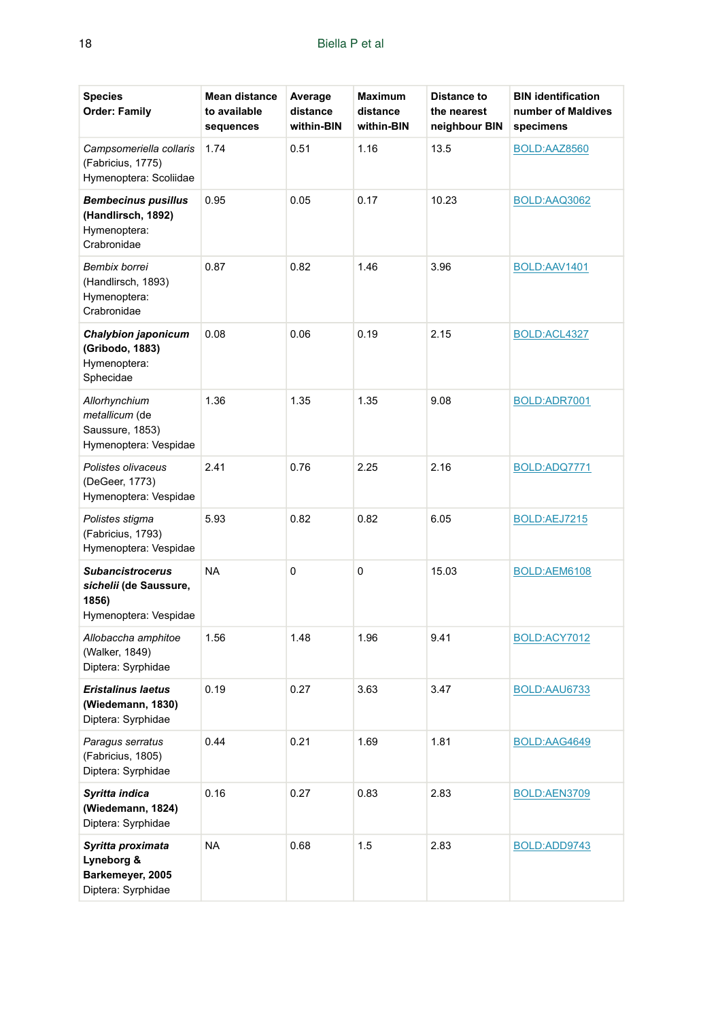| <b>Species</b><br><b>Order: Family</b>                                              | <b>Mean distance</b><br>to available<br>sequences | Average<br>distance<br>within-BIN | <b>Maximum</b><br>distance<br>within-BIN | <b>Distance to</b><br>the nearest<br>neighbour BIN | <b>BIN identification</b><br>number of Maldives<br>specimens |
|-------------------------------------------------------------------------------------|---------------------------------------------------|-----------------------------------|------------------------------------------|----------------------------------------------------|--------------------------------------------------------------|
| Campsomeriella collaris<br>(Fabricius, 1775)<br>Hymenoptera: Scoliidae              | 1.74                                              | 0.51                              | 1.16                                     | 13.5                                               | BOLD:AAZ8560                                                 |
| <b>Bembecinus pusillus</b><br>(Handlirsch, 1892)<br>Hymenoptera:<br>Crabronidae     | 0.95                                              | 0.05                              | 0.17                                     | 10.23                                              | BOLD:AAQ3062                                                 |
| Bembix borrei<br>(Handlirsch, 1893)<br>Hymenoptera:<br>Crabronidae                  | 0.87                                              | 0.82                              | 1.46                                     | 3.96                                               | BOLD:AAV1401                                                 |
| Chalybion japonicum<br>(Gribodo, 1883)<br>Hymenoptera:<br>Sphecidae                 | 0.08                                              | 0.06                              | 0.19                                     | 2.15                                               | BOLD:ACL4327                                                 |
| Allorhynchium<br>metallicum (de<br>Saussure, 1853)<br>Hymenoptera: Vespidae         | 1.36                                              | 1.35                              | 1.35                                     | 9.08                                               | BOLD:ADR7001                                                 |
| Polistes olivaceus<br>(DeGeer, 1773)<br>Hymenoptera: Vespidae                       | 2.41                                              | 0.76                              | 2.25                                     | 2.16                                               | BOLD:ADQ7771                                                 |
| Polistes stigma<br>(Fabricius, 1793)<br>Hymenoptera: Vespidae                       | 5.93                                              | 0.82                              | 0.82                                     | 6.05                                               | BOLD:AEJ7215                                                 |
| <b>Subancistrocerus</b><br>sichelii (de Saussure,<br>1856)<br>Hymenoptera: Vespidae | NA                                                | 0                                 | 0                                        | 15.03                                              | BOLD:AEM6108                                                 |
| Allobaccha amphitoe<br>(Walker, 1849)<br>Diptera: Syrphidae                         | 1.56                                              | 1.48                              | 1.96                                     | 9.41                                               | BOLD:ACY7012                                                 |
| <b>Eristalinus laetus</b><br>(Wiedemann, 1830)<br>Diptera: Syrphidae                | 0.19                                              | 0.27                              | 3.63                                     | 3.47                                               | BOLD:AAU6733                                                 |
| Paragus serratus<br>(Fabricius, 1805)<br>Diptera: Syrphidae                         | 0.44                                              | 0.21                              | 1.69                                     | 1.81                                               | BOLD:AAG4649                                                 |
| Syritta indica<br>(Wiedemann, 1824)<br>Diptera: Syrphidae                           | 0.16                                              | 0.27                              | 0.83                                     | 2.83                                               | BOLD:AEN3709                                                 |
| Syritta proximata<br>Lyneborg &<br>Barkemeyer, 2005<br>Diptera: Syrphidae           | NA                                                | 0.68                              | 1.5                                      | 2.83                                               | BOLD:ADD9743                                                 |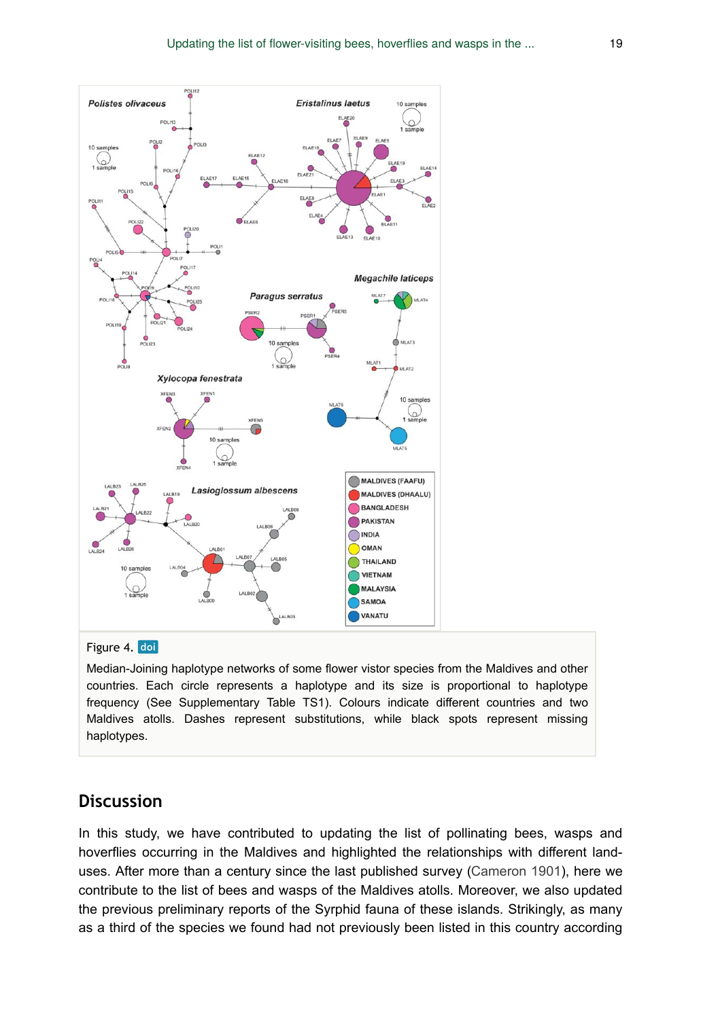<span id="page-18-0"></span>

#### Figure 4. doi

Median-Joining haplotype networks of some flower vistor species from the Maldives and other countries. Each circle represents a haplotype and its size is proportional to haplotype frequency (See Supplementary Table TS1). Colours indicate different countries and two Maldives atolls. Dashes represent substitutions, while black spots represent missing haplotypes.

### **Discussion**

In this study, we have contributed to updating the list of pollinating bees, wasps and hoverflies occurring in the Maldives and highlighted the relationships with different land-uses. After more than a century since the last published survey [\(Cameron 1901](#page-21-5)), here we contribute to the list of bees and wasps of the Maldives atolls. Moreover, we also updated the previous preliminary reports of the Syrphid fauna of these islands. Strikingly, as many as a third of the species we found had not previously been listed in this country according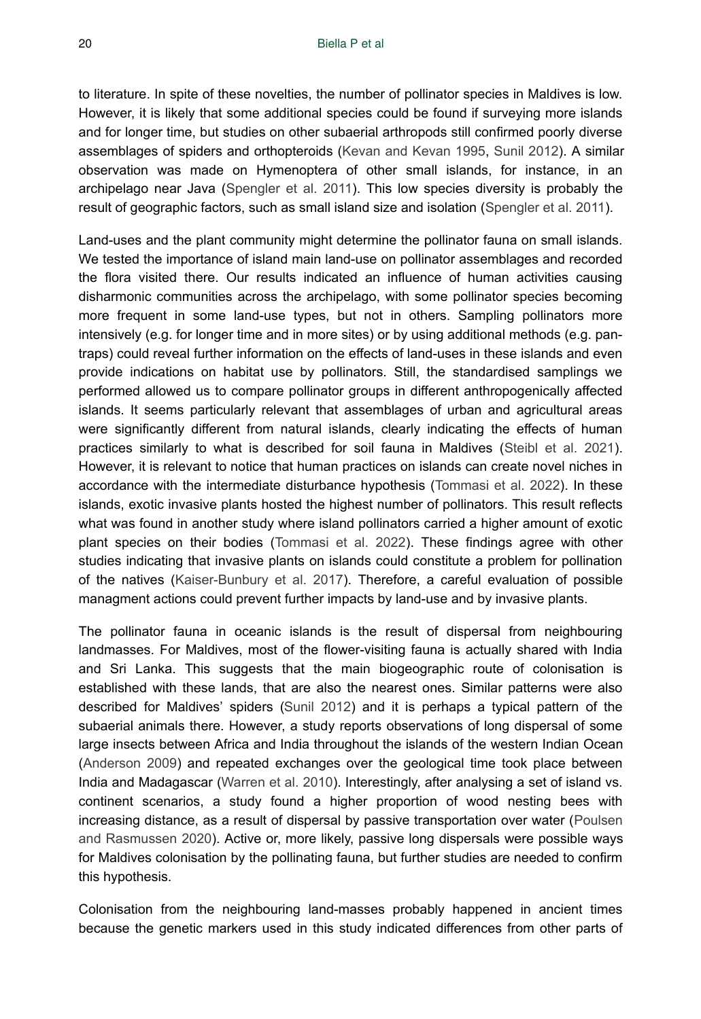to literature. In spite of these novelties, the number of pollinator species in Maldives is low. However, it is likely that some additional species could be found if surveying more islands and for longer time, but studies on other subaerial arthropods still confirmed poorly diverse assemblages of spiders and orthopteroids [\(Kevan and Kevan 1995,](#page-22-6) [Sunil 2012](#page-25-10)). A similar observation was made on Hymenoptera of other small islands, for instance, in an archipelago near Java ([Spengler et al. 2011\)](#page-24-5). This low species diversity is probably the result of geographic factors, such as small island size and isolation ([Spengler et al. 2011](#page-24-5)).

Land-uses and the plant community might determine the pollinator fauna on small islands. We tested the importance of island main land-use on pollinator assemblages and recorded the flora visited there. Our results indicated an influence of human activities causing disharmonic communities across the archipelago, with some pollinator species becoming more frequent in some land-use types, but not in others. Sampling pollinators more intensively (e.g. for longer time and in more sites) or by using additional methods (e.g. pantraps) could reveal further information on the effects of land-uses in these islands and even provide indications on habitat use by pollinators. Still, the standardised samplings we performed allowed us to compare pollinator groups in different anthropogenically affected islands. It seems particularly relevant that assemblages of urban and agricultural areas were significantly different from natural islands, clearly indicating the effects of human practices similarly to what is described for soil fauna in Maldives [\(Steibl et al. 2021\)](#page-24-15). However, it is relevant to notice that human practices on islands can create novel niches in accordance with the intermediate disturbance hypothesis ([Tommasi et al. 2022](#page-25-1)). In these islands, exotic invasive plants hosted the highest number of pollinators. This result reflects what was found in another study where island pollinators carried a higher amount of exotic plant species on their bodies [\(Tommasi et al. 2022\)](#page-25-1). These findings agree with other studies indicating that invasive plants on islands could constitute a problem for pollination of the natives ([Kaiser-Bunbury et al. 2017\)](#page-22-3). Therefore, a careful evaluation of possible managment actions could prevent further impacts by land-use and by invasive plants.

The pollinator fauna in oceanic islands is the result of dispersal from neighbouring landmasses. For Maldives, most of the flower-visiting fauna is actually shared with India and Sri Lanka. This suggests that the main biogeographic route of colonisation is established with these lands, that are also the nearest ones. Similar patterns were also described for Maldives' spiders [\(Sunil 2012](#page-25-10)) and it is perhaps a typical pattern of the subaerial animals there. However, a study reports observations of long dispersal of some large insects between Africa and India throughout the islands of the western Indian Ocean [\(Anderson 2009\)](#page-21-3) and repeated exchanges over the geological time took place between India and Madagascar ([Warren et al. 2010](#page-25-3)). Interestingly, after analysing a set of island vs. continent scenarios, a study found a higher proportion of wood nesting bees with increasing distance, as a result of dispersal by passive transportation over water ([Poulsen](#page-24-6) [and Rasmussen 2020](#page-24-6)). Active or, more likely, passive long dispersals were possible ways for Maldives colonisation by the pollinating fauna, but further studies are needed to confirm this hypothesis.

Colonisation from the neighbouring land-masses probably happened in ancient times because the genetic markers used in this study indicated differences from other parts of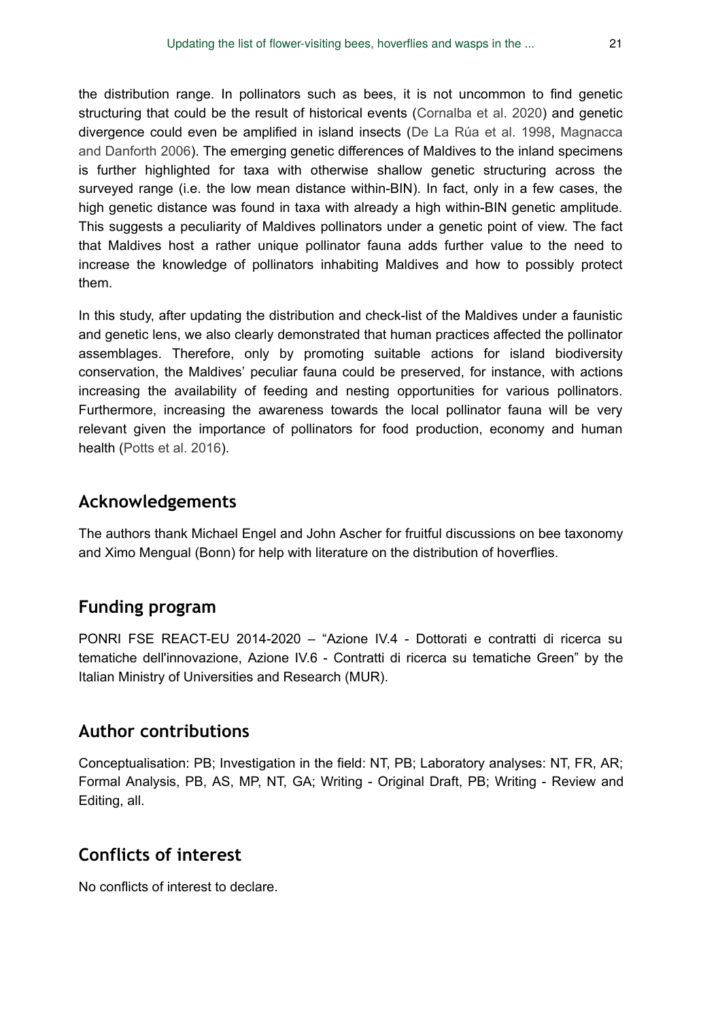the distribution range. In pollinators such as bees, it is not uncommon to find genetic structuring that could be the result of historical events ([Cornalba et al. 2020\)](#page-21-8) and genetic divergence could even be amplified in island insects [\(De La Rúa et al. 1998,](#page-22-14) [Magnacca](#page-23-16) [and Danforth 2006](#page-23-16)). The emerging genetic differences of Maldives to the inland specimens is further highlighted for taxa with otherwise shallow genetic structuring across the surveyed range (i.e. the low mean distance within-BIN). In fact, only in a few cases, the high genetic distance was found in taxa with already a high within-BIN genetic amplitude. This suggests a peculiarity of Maldives pollinators under a genetic point of view. The fact that Maldives host a rather unique pollinator fauna adds further value to the need to increase the knowledge of pollinators inhabiting Maldives and how to possibly protect them.

In this study, after updating the distribution and check-list of the Maldives under a faunistic and genetic lens, we also clearly demonstrated that human practices affected the pollinator assemblages. Therefore, only by promoting suitable actions for island biodiversity conservation, the Maldives' peculiar fauna could be preserved, for instance, with actions increasing the availability of feeding and nesting opportunities for various pollinators. Furthermore, increasing the awareness towards the local pollinator fauna will be very relevant given the importance of pollinators for food production, economy and human health [\(Potts et al. 2016\)](#page-24-0).

## **Acknowledgements**

The authors thank Michael Engel and John Ascher for fruitful discussions on bee taxonomy and Ximo Mengual (Bonn) for help with literature on the distribution of hoverflies.

## **Funding program**

PONRI FSE REACT-EU 2014-2020 – "Azione IV.4 - Dottorati e contratti di ricerca su tematiche dell'innovazione, Azione IV.6 - Contratti di ricerca su tematiche Green" by the Italian Ministry of Universities and Research (MUR).

## **Author contributions**

Conceptualisation: PB; Investigation in the field: NT, PB; Laboratory analyses: NT, FR, AR; Formal Analysis, PB, AS, MP, NT, GA; Writing - Original Draft, PB; Writing - Review and Editing, all.

## **Conflicts of interest**

No conflicts of interest to declare.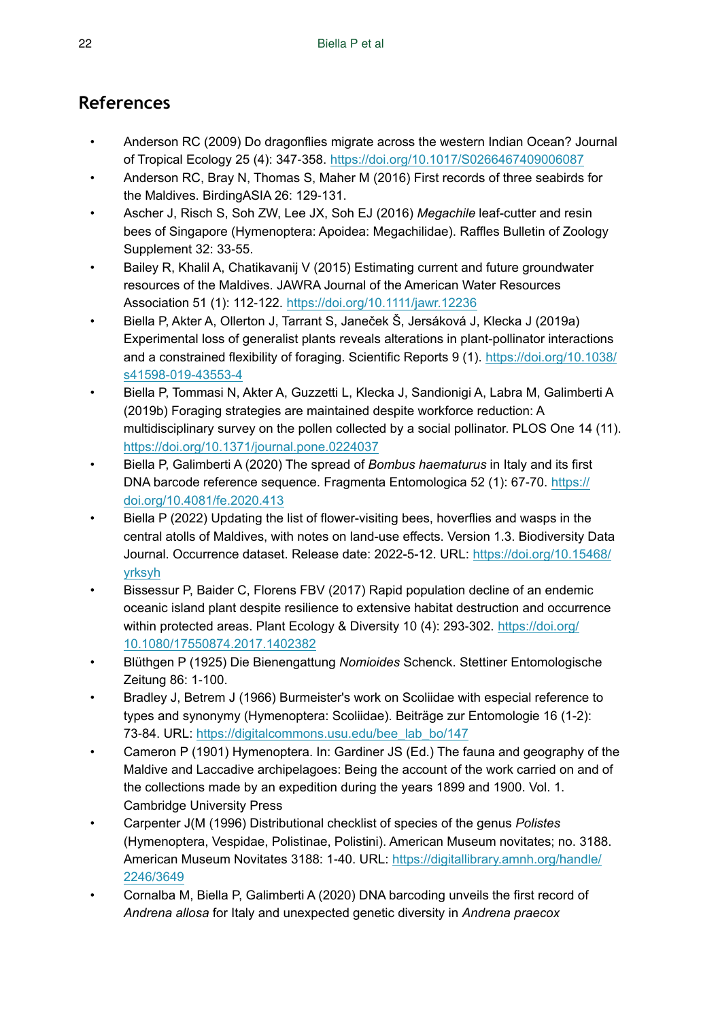## **References**

- <span id="page-21-3"></span>• Anderson RC (2009) Do dragonflies migrate across the western Indian Ocean? Journal of Tropical Ecology 25 (4): 347‑358.<https://doi.org/10.1017/S0266467409006087>
- <span id="page-21-4"></span>• Anderson RC, Bray N, Thomas S, Maher M (2016) First records of three seabirds for the Maldives. BirdingASIA 26: 129‑131.
- <span id="page-21-12"></span>• Ascher J, Risch S, Soh ZW, Lee JX, Soh EJ (2016) *Megachile* leaf-cutter and resin bees of Singapore (Hymenoptera: Apoidea: Megachilidae). Raffles Bulletin of Zoology Supplement 32: 33‑55.
- <span id="page-21-9"></span>• Bailey R, Khalil A, Chatikavanij V (2015) Estimating current and future groundwater resources of the Maldives. JAWRA Journal of the American Water Resources Association 51 (1): 112‑122.<https://doi.org/10.1111/jawr.12236>
- <span id="page-21-0"></span>• Biella P, Akter A, Ollerton J, Tarrant S, Janeček Š, Jersáková J, Klecka J (2019a) Experimental loss of generalist plants reveals alterations in plant-pollinator interactions and a constrained flexibility of foraging. Scientific Reports 9 (1). [https://doi.org/10.1038/](https://doi.org/10.1038/s41598-019-43553-4) [s41598-019-43553-4](https://doi.org/10.1038/s41598-019-43553-4)
- <span id="page-21-1"></span>• Biella P, Tommasi N, Akter A, Guzzetti L, Klecka J, Sandionigi A, Labra M, Galimberti A (2019b) Foraging strategies are maintained despite workforce reduction: A multidisciplinary survey on the pollen collected by a social pollinator. PLOS One 14 (11). <https://doi.org/10.1371/journal.pone.0224037>
- <span id="page-21-7"></span>• Biella P, Galimberti A (2020) The spread of *Bombus haematurus* in Italy and its first DNA barcode reference sequence. Fragmenta Entomologica 52 (1): 67-70. [https://](https://doi.org/10.4081/fe.2020.413) [doi.org/10.4081/fe.2020.413](https://doi.org/10.4081/fe.2020.413)
- <span id="page-21-13"></span>• Biella P (2022) Updating the list of flower-visiting bees, hoverflies and wasps in the central atolls of Maldives, with notes on land-use effects. Version 1.3. Biodiversity Data Journal. Occurrence dataset. Release date: 2022-5-12. URL: [https://doi.org/10.15468/](https://doi.org/10.15468/yrksyh) [yrksyh](https://doi.org/10.15468/yrksyh)
- <span id="page-21-2"></span>• Bissessur P, Baider C, Florens FBV (2017) Rapid population decline of an endemic oceanic island plant despite resilience to extensive habitat destruction and occurrence within protected areas. Plant Ecology & Diversity 10 (4): 293-302. [https://doi.org/](https://doi.org/10.1080/17550874.2017.1402382) [10.1080/17550874.2017.1402382](https://doi.org/10.1080/17550874.2017.1402382)
- <span id="page-21-6"></span>• Blüthgen P (1925) Die Bienengattung *Nomioides* Schenck. Stettiner Entomologische Zeitung 86: 1‑100.
- <span id="page-21-10"></span>• Bradley J, Betrem J (1966) Burmeister's work on Scoliidae with especial reference to types and synonymy (Hymenoptera: Scoliidae). Beiträge zur Entomologie 16 (1-2): 73-84. URL: [https://digitalcommons.usu.edu/bee\\_lab\\_bo/147](https://digitalcommons.usu.edu/bee_lab_bo/147)
- <span id="page-21-5"></span>• Cameron P (1901) Hymenoptera. In: Gardiner JS (Ed.) The fauna and geography of the Maldive and Laccadive archipelagoes: Being the account of the work carried on and of the collections made by an expedition during the years 1899 and 1900. Vol. 1. Cambridge University Press
- <span id="page-21-11"></span>• Carpenter J(M (1996) Distributional checklist of species of the genus *Polistes* (Hymenoptera, Vespidae, Polistinae, Polistini). American Museum novitates; no. 3188. American Museum Novitates 3188: 1‑40. URL: [https://digitallibrary.amnh.org/handle/](https://digitallibrary.amnh.org/handle/2246/3649) [2246/3649](https://digitallibrary.amnh.org/handle/2246/3649)
- <span id="page-21-8"></span>• Cornalba M, Biella P, Galimberti A (2020) DNA barcoding unveils the first record of *Andrena allosa* for Italy and unexpected genetic diversity in *Andrena praecox*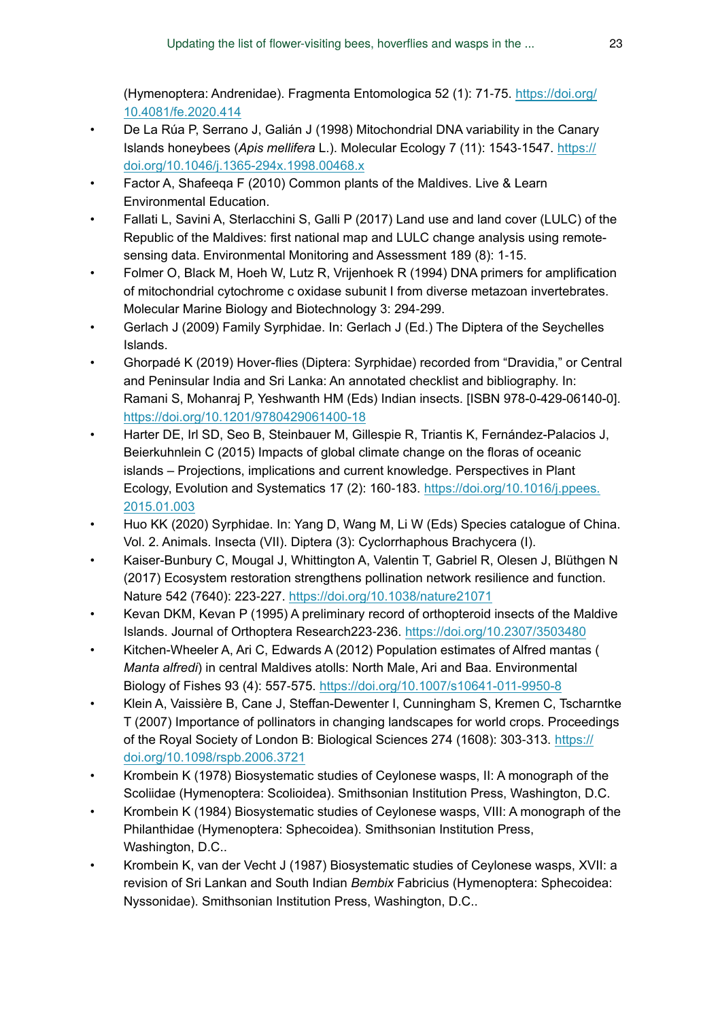(Hymenoptera: Andrenidae). Fragmenta Entomologica 52 (1): 71‑75. [https://doi.org/](https://doi.org/10.4081/fe.2020.414) [10.4081/fe.2020.414](https://doi.org/10.4081/fe.2020.414)

- <span id="page-22-14"></span>• De La Rúa P, Serrano J, Galián J (1998) Mitochondrial DNA variability in the Canary Islands honeybees (*Apis mellifera* L.). Molecular Ecology 7 (11): 1543‑1547. [https://](https://doi.org/10.1046/j.1365-294x.1998.00468.x) [doi.org/10.1046/j.1365-294x.1998.00468.x](https://doi.org/10.1046/j.1365-294x.1998.00468.x)
- <span id="page-22-4"></span>Factor A, Shafeega F (2010) Common plants of the Maldives. Live & Learn Environmental Education.
- <span id="page-22-2"></span>• Fallati L, Savini A, Sterlacchini S, Galli P (2017) Land use and land cover (LULC) of the Republic of the Maldives: first national map and LULC change analysis using remotesensing data. Environmental Monitoring and Assessment 189 (8): 1-15.
- <span id="page-22-13"></span>• Folmer O, Black M, Hoeh W, Lutz R, Vrijenhoek R (1994) DNA primers for amplification of mitochondrial cytochrome c oxidase subunit I from diverse metazoan invertebrates. Molecular Marine Biology and Biotechnology 3: 294‑299.
- <span id="page-22-7"></span>Gerlach J (2009) Family Syrphidae. In: Gerlach J (Ed.) The Diptera of the Seychelles Islands.
- <span id="page-22-8"></span>• Ghorpadé K (2019) Hover-flies (Diptera: Syrphidae) recorded from "Dravidia," or Central and Peninsular India and Sri Lanka: An annotated checklist and bibliography. In: Ramani S, Mohanraj P, Yeshwanth HM (Eds) Indian insects. [ISBN 978-0-429-06140-0]. <https://doi.org/10.1201/9780429061400-18>
- <span id="page-22-1"></span>• Harter DE, Irl SD, Seo B, Steinbauer M, Gillespie R, Triantis K, Fernández-Palacios J, Beierkuhnlein C (2015) Impacts of global climate change on the floras of oceanic islands – Projections, implications and current knowledge. Perspectives in Plant Ecology, Evolution and Systematics 17 (2): 160‑183. [https://doi.org/10.1016/j.ppees.](https://doi.org/10.1016/j.ppees.2015.01.003) [2015.01.003](https://doi.org/10.1016/j.ppees.2015.01.003)
- <span id="page-22-9"></span>• Huo KK (2020) Syrphidae. In: Yang D, Wang M, Li W (Eds) Species catalogue of China. Vol. 2. Animals. Insecta (VII). Diptera (3): Cyclorrhaphous Brachycera (I).
- <span id="page-22-3"></span>• Kaiser-Bunbury C, Mougal J, Whittington A, Valentin T, Gabriel R, Olesen J, Blüthgen N (2017) Ecosystem restoration strengthens pollination network resilience and function. Nature 542 (7640): 223‑227. <https://doi.org/10.1038/nature21071>
- <span id="page-22-6"></span>• Kevan DKM, Kevan P (1995) A preliminary record of orthopteroid insects of the Maldive Islands. Journal of Orthoptera Research223‑236.<https://doi.org/10.2307/3503480>
- <span id="page-22-5"></span>• Kitchen-Wheeler A, Ari C, Edwards A (2012) Population estimates of Alfred mantas ( *Manta alfredi*) in central Maldives atolls: North Male, Ari and Baa. Environmental Biology of Fishes 93 (4): 557‑575.<https://doi.org/10.1007/s10641-011-9950-8>
- <span id="page-22-0"></span>• Klein A, Vaissière B, Cane J, Steffan-Dewenter I, Cunningham S, Kremen C, Tscharntke T (2007) Importance of pollinators in changing landscapes for world crops. Proceedings of the Royal Society of London B: Biological Sciences 274 (1608): 303‑313. [https://](https://doi.org/10.1098/rspb.2006.3721) [doi.org/10.1098/rspb.2006.3721](https://doi.org/10.1098/rspb.2006.3721)
- <span id="page-22-12"></span>• Krombein K (1978) Biosystematic studies of Ceylonese wasps, II: A monograph of the Scoliidae (Hymenoptera: Scolioidea). Smithsonian Institution Press, Washington, D.C.
- <span id="page-22-10"></span>• Krombein K (1984) Biosystematic studies of Ceylonese wasps, VIII: A monograph of the Philanthidae (Hymenoptera: Sphecoidea). Smithsonian Institution Press, Washington, D.C..
- <span id="page-22-11"></span>• Krombein K, van der Vecht J (1987) Biosystematic studies of Ceylonese wasps, XVII: a revision of Sri Lankan and South Indian *Bembix* Fabricius (Hymenoptera: Sphecoidea: Nyssonidae). Smithsonian Institution Press, Washington, D.C..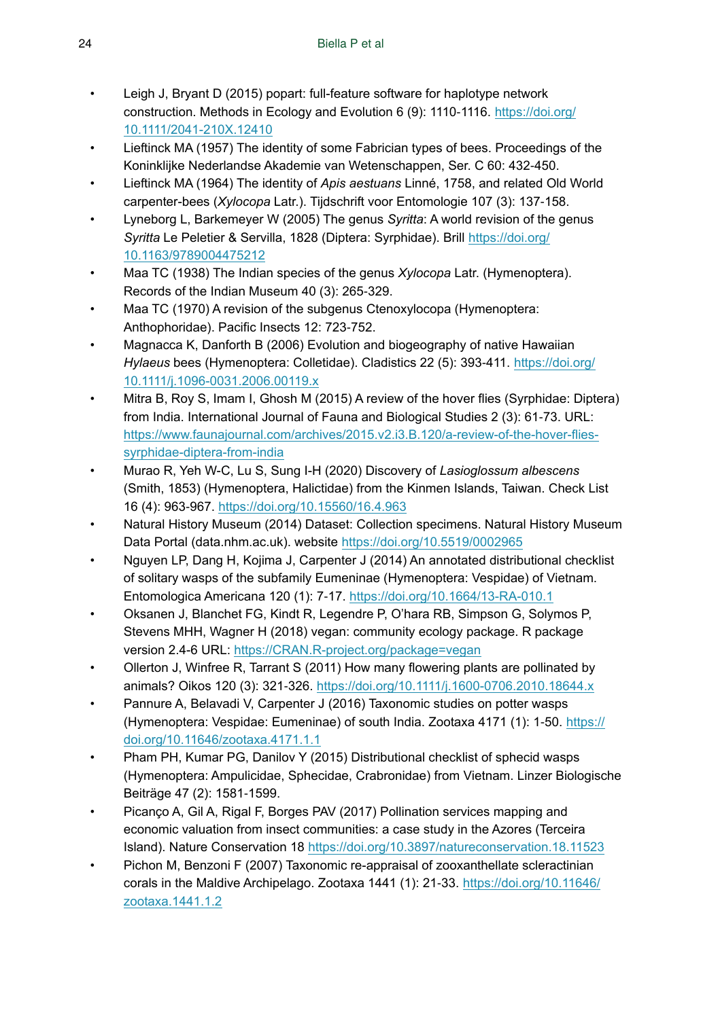- <span id="page-23-14"></span>• Leigh J, Bryant D (2015) popart: full-feature software for haplotype network construction. Methods in Ecology and Evolution 6 (9): 1110-1116. [https://doi.org/](https://doi.org/10.1111/2041-210X.12410) [10.1111/2041-210X.12410](https://doi.org/10.1111/2041-210X.12410)
- <span id="page-23-11"></span>• Lieftinck MA (1957) The identity of some Fabrician types of bees. Proceedings of the Koninklijke Nederlandse Akademie van Wetenschappen, Ser. C 60: 432‑450.
- <span id="page-23-12"></span>• Lieftinck MA (1964) The identity of *Apis aestuans* Linné, 1758, and related Old World carpenter-bees (*Xylocopa* Latr.). Tijdschrift voor Entomologie 107 (3): 137‑158.
- <span id="page-23-3"></span>• Lyneborg L, Barkemeyer W (2005) The genus *Syritta*: A world revision of the genus *Syritta* Le Peletier & Servilla, 1828 (Diptera: Syrphidae). Brill [https://doi.org/](https://doi.org/10.1163/9789004475212) [10.1163/9789004475212](https://doi.org/10.1163/9789004475212)
- <span id="page-23-10"></span>• Maa TC (1938) The Indian species of the genus *Xylocopa* Latr. (Hymenoptera). Records of the Indian Museum 40 (3): 265‑329.
- <span id="page-23-13"></span>Maa TC (1970) A revision of the subgenus Ctenoxylocopa (Hymenoptera: Anthophoridae). Pacific Insects 12: 723‑752.
- <span id="page-23-16"></span>• Magnacca K, Danforth B (2006) Evolution and biogeography of native Hawaiian *Hylaeus* bees (Hymenoptera: Colletidae). Cladistics 22 (5): 393‑411. [https://doi.org/](https://doi.org/10.1111/j.1096-0031.2006.00119.x) [10.1111/j.1096-0031.2006.00119.x](https://doi.org/10.1111/j.1096-0031.2006.00119.x)
- <span id="page-23-5"></span>• Mitra B, Roy S, Imam I, Ghosh M (2015) A review of the hover flies (Syrphidae: Diptera) from India. International Journal of Fauna and Biological Studies 2 (3): 61-73. URL: [https://www.faunajournal.com/archives/2015.v2.i3.B.120/a-review-of-the-hover-flies](https://www.faunajournal.com/archives/2015.v2.i3.B.120/a-review-of-the-hover-flies-syrphidae-diptera-from-india)[syrphidae-diptera-from-india](https://www.faunajournal.com/archives/2015.v2.i3.B.120/a-review-of-the-hover-flies-syrphidae-diptera-from-india)
- <span id="page-23-9"></span>• Murao R, Yeh W-C, Lu S, Sung I-H (2020) Discovery of *Lasioglossum albescens* (Smith, 1853) (Hymenoptera, Halictidae) from the Kinmen Islands, Taiwan. Check List 16 (4): 963‑967. <https://doi.org/10.15560/16.4.963>
- <span id="page-23-4"></span>• Natural History Museum (2014) Dataset: Collection specimens. Natural History Museum Data Portal (data.nhm.ac.uk). website <https://doi.org/10.5519/0002965>
- <span id="page-23-7"></span>• Nguyen LP, Dang H, Kojima J, Carpenter J (2014) An annotated distributional checklist of solitary wasps of the subfamily Eumeninae (Hymenoptera: Vespidae) of Vietnam. Entomologica Americana 120 (1): 7‑17.<https://doi.org/10.1664/13-RA-010.1>
- <span id="page-23-15"></span>• Oksanen J, Blanchet FG, Kindt R, Legendre P, O'hara RB, Simpson G, Solymos P, Stevens MHH, Wagner H (2018) vegan: community ecology package. R package version 2.4-6 URL:<https://CRAN.R-project.org/package=vegan>
- <span id="page-23-0"></span>• Ollerton J, Winfree R, Tarrant S (2011) How many flowering plants are pollinated by animals? Oikos 120 (3): 321‑326.<https://doi.org/10.1111/j.1600-0706.2010.18644.x>
- <span id="page-23-8"></span>• Pannure A, Belavadi V, Carpenter J (2016) Taxonomic studies on potter wasps (Hymenoptera: Vespidae: Eumeninae) of south India. Zootaxa 4171 (1): 1‑50. [https://](https://doi.org/10.11646/zootaxa.4171.1.1) [doi.org/10.11646/zootaxa.4171.1.1](https://doi.org/10.11646/zootaxa.4171.1.1)
- <span id="page-23-6"></span>• Pham PH, Kumar PG, Danilov Y (2015) Distributional checklist of sphecid wasps (Hymenoptera: Ampulicidae, Sphecidae, Crabronidae) from Vietnam. Linzer Biologische Beiträge 47 (2): 1581‑1599.
- <span id="page-23-1"></span>• Picanço A, Gil A, Rigal F, Borges PAV (2017) Pollination services mapping and economic valuation from insect communities: a case study in the Azores (Terceira Island). Nature Conservation 18 <https://doi.org/10.3897/natureconservation.18.11523>
- <span id="page-23-2"></span>• Pichon M, Benzoni F (2007) Taxonomic re-appraisal of zooxanthellate scleractinian corals in the Maldive Archipelago. Zootaxa 1441 (1): 21-33. [https://doi.org/10.11646/](https://doi.org/10.11646/zootaxa.1441.1.2) [zootaxa.1441.1.2](https://doi.org/10.11646/zootaxa.1441.1.2)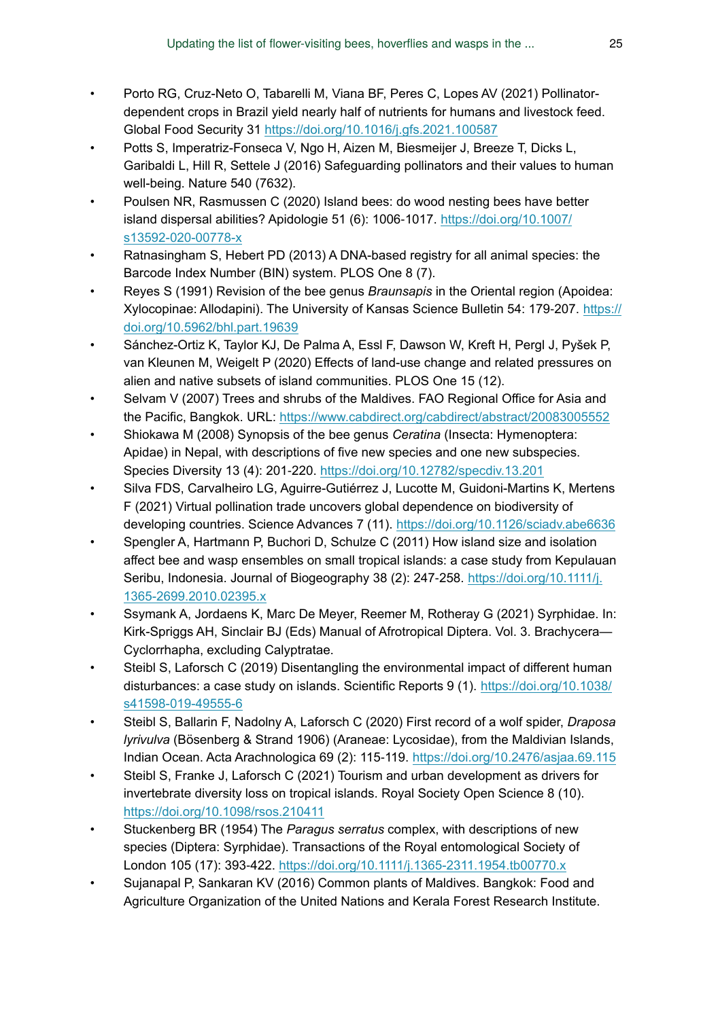- <span id="page-24-2"></span>• Porto RG, Cruz-Neto O, Tabarelli M, Viana BF, Peres C, Lopes AV (2021) Pollinatordependent crops in Brazil yield nearly half of nutrients for humans and livestock feed. Global Food Security 31 <https://doi.org/10.1016/j.gfs.2021.100587>
- <span id="page-24-0"></span>• Potts S, Imperatriz-Fonseca V, Ngo H, Aizen M, Biesmeijer J, Breeze T, Dicks L, Garibaldi L, Hill R, Settele J (2016) Safeguarding pollinators and their values to human well-being. Nature 540 (7632).
- <span id="page-24-6"></span>• Poulsen NR, Rasmussen C (2020) Island bees: do wood nesting bees have better island dispersal abilities? Apidologie 51 (6): 1006‑1017. [https://doi.org/10.1007/](https://doi.org/10.1007/s13592-020-00778-x) [s13592-020-00778-x](https://doi.org/10.1007/s13592-020-00778-x)
- <span id="page-24-14"></span>• Ratnasingham S, Hebert PD (2013) A DNA-based registry for all animal species: the Barcode Index Number (BIN) system. PLOS One 8 (7).
- <span id="page-24-9"></span>• Reyes S (1991) Revision of the bee genus *Braunsapis* in the Oriental region (Apoidea: Xylocopinae: Allodapini). The University of Kansas Science Bulletin 54: 179-207. [https://](https://doi.org/10.5962/bhl.part.19639) [doi.org/10.5962/bhl.part.19639](https://doi.org/10.5962/bhl.part.19639)
- <span id="page-24-3"></span>• Sánchez-Ortiz K, Taylor KJ, De Palma A, Essl F, Dawson W, Kreft H, Pergl J, Pyšek P, van Kleunen M, Weigelt P (2020) Effects of land-use change and related pressures on alien and native subsets of island communities. PLOS One 15 (12).
- <span id="page-24-7"></span>• Selvam V (2007) Trees and shrubs of the Maldives. FAO Regional Office for Asia and the Pacific, Bangkok. URL: <https://www.cabdirect.org/cabdirect/abstract/20083005552>
- <span id="page-24-13"></span>• Shiokawa M (2008) Synopsis of the bee genus *Ceratina* (Insecta: Hymenoptera: Apidae) in Nepal, with descriptions of five new species and one new subspecies. Species Diversity 13 (4): 201‑220. <https://doi.org/10.12782/specdiv.13.201>
- <span id="page-24-1"></span>• Silva FDS, Carvalheiro LG, Aguirre-Gutiérrez J, Lucotte M, Guidoni-Martins K, Mertens F (2021) Virtual pollination trade uncovers global dependence on biodiversity of developing countries. Science Advances 7 (11).<https://doi.org/10.1126/sciadv.abe6636>
- <span id="page-24-5"></span>• Spengler A, Hartmann P, Buchori D, Schulze C (2011) How island size and isolation affect bee and wasp ensembles on small tropical islands: a case study from Kepulauan Seribu, Indonesia. Journal of Biogeography 38 (2): 247-258. [https://doi.org/10.1111/j.](https://doi.org/10.1111/j.1365-2699.2010.02395.x) [1365-2699.2010.02395.x](https://doi.org/10.1111/j.1365-2699.2010.02395.x)
- <span id="page-24-12"></span>• Ssymank A, Jordaens K, Marc De Meyer, Reemer M, Rotheray G (2021) Syrphidae. In: Kirk-Spriggs AH, Sinclair BJ (Eds) Manual of Afrotropical Diptera. Vol. 3. Brachycera— Cyclorrhapha, excluding Calyptratae.
- <span id="page-24-4"></span>Steibl S, Laforsch C (2019) Disentangling the environmental impact of different human disturbances: a case study on islands. Scientific Reports 9 (1). [https://doi.org/10.1038/](https://doi.org/10.1038/s41598-019-49555-6) [s41598-019-49555-6](https://doi.org/10.1038/s41598-019-49555-6)
- <span id="page-24-8"></span>• Steibl S, Ballarin F, Nadolny A, Laforsch C (2020) First record of a wolf spider, *Draposa lyrivulva* (Bösenberg & Strand 1906) (Araneae: Lycosidae), from the Maldivian Islands, Indian Ocean. Acta Arachnologica 69 (2): 115‑119. <https://doi.org/10.2476/asjaa.69.115>
- <span id="page-24-15"></span>• Steibl S, Franke J, Laforsch C (2021) Tourism and urban development as drivers for invertebrate diversity loss on tropical islands. Royal Society Open Science 8 (10). <https://doi.org/10.1098/rsos.210411>
- <span id="page-24-11"></span>• Stuckenberg BR (1954) The *Paragus serratus* complex, with descriptions of new species (Diptera: Syrphidae). Transactions of the Royal entomological Society of London 105 (17): 393‑422.<https://doi.org/10.1111/j.1365-2311.1954.tb00770.x>
- <span id="page-24-10"></span>• Sujanapal P, Sankaran KV (2016) Common plants of Maldives. Bangkok: Food and Agriculture Organization of the United Nations and Kerala Forest Research Institute.